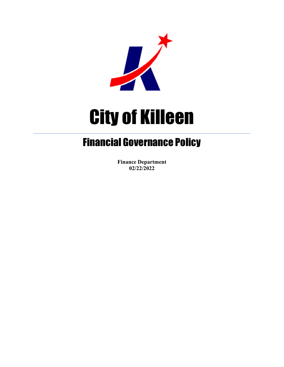

# City of Killeen

## Financial Governance Policy

**Finance Department 02/22/2022**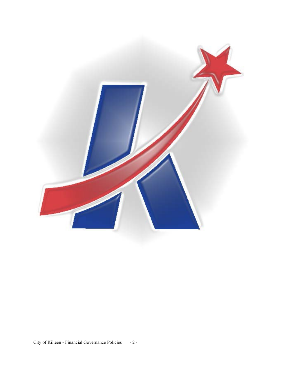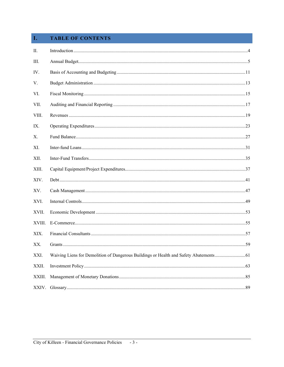#### $\mathbf{I}$  . **TABLE OF CONTENTS**

| II.    |                                                                                        |  |
|--------|----------------------------------------------------------------------------------------|--|
| III.   |                                                                                        |  |
| IV.    |                                                                                        |  |
| V.     |                                                                                        |  |
| VI.    |                                                                                        |  |
| VII.   |                                                                                        |  |
| VIII.  |                                                                                        |  |
| IX.    |                                                                                        |  |
| Χ.     |                                                                                        |  |
| XI.    |                                                                                        |  |
| XII.   |                                                                                        |  |
| XIII.  |                                                                                        |  |
| XIV.   |                                                                                        |  |
| XV.    |                                                                                        |  |
| XVI.   |                                                                                        |  |
| XVII.  |                                                                                        |  |
| XVIII. |                                                                                        |  |
| XIX.   |                                                                                        |  |
| XX.    |                                                                                        |  |
| XXI.   | Waiving Liens for Demolition of Dangerous Buildings or Health and Safety Abatements 61 |  |
| XXII.  |                                                                                        |  |
| XXIII. |                                                                                        |  |
| XXIV.  |                                                                                        |  |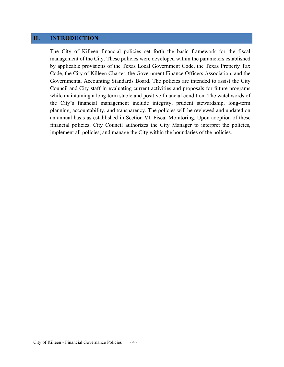#### <span id="page-3-0"></span>**II. INTRODUCTION**

The City of Killeen financial policies set forth the basic framework for the fiscal management of the City. These policies were developed within the parameters established by applicable provisions of the Texas Local Government Code, the Texas Property Tax Code, the City of Killeen Charter, the Government Finance Officers Association, and the Governmental Accounting Standards Board. The policies are intended to assist the City Council and City staff in evaluating current activities and proposals for future programs while maintaining a long-term stable and positive financial condition. The watchwords of the City's financial management include integrity, prudent stewardship, long-term planning, accountability, and transparency. The policies will be reviewed and updated on an annual basis as established in Section VI. Fiscal Monitoring. Upon adoption of these financial policies, City Council authorizes the City Manager to interpret the policies, implement all policies, and manage the City within the boundaries of the policies.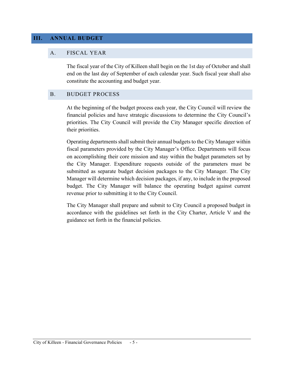#### <span id="page-4-0"></span>**III. ANNUAL BUDGET**

#### A. FISCAL YEAR

The fiscal year of the City of Killeen shall begin on the 1st day of October and shall end on the last day of September of each calendar year. Such fiscal year shall also constitute the accounting and budget year.

#### B. BUDGET PROCESS

At the beginning of the budget process each year, the City Council will review the financial policies and have strategic discussions to determine the City Council's priorities. The City Council will provide the City Manager specific direction of their priorities.

Operating departments shall submit their annual budgets to the City Manager within fiscal parameters provided by the City Manager's Office. Departments will focus on accomplishing their core mission and stay within the budget parameters set by the City Manager. Expenditure requests outside of the parameters must be submitted as separate budget decision packages to the City Manager. The City Manager will determine which decision packages, if any, to include in the proposed budget. The City Manager will balance the operating budget against current revenue prior to submitting it to the City Council.

The City Manager shall prepare and submit to City Council a proposed budget in accordance with the guidelines set forth in the City Charter, Article V and the guidance set forth in the financial policies.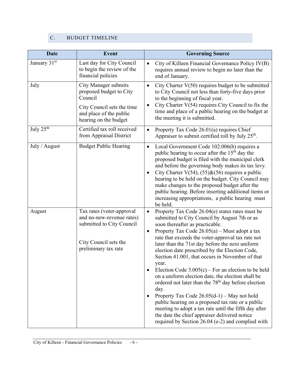#### C. BUDGET TIMELINE

| <b>Date</b>   | <b>Event</b>                                                                                                                         | <b>Governing Source</b>                                                                                                                                                                                                                                                                                                                                                                                                                                                                                                                                                                                                                                                                                                                                                                                                                                                                              |
|---------------|--------------------------------------------------------------------------------------------------------------------------------------|------------------------------------------------------------------------------------------------------------------------------------------------------------------------------------------------------------------------------------------------------------------------------------------------------------------------------------------------------------------------------------------------------------------------------------------------------------------------------------------------------------------------------------------------------------------------------------------------------------------------------------------------------------------------------------------------------------------------------------------------------------------------------------------------------------------------------------------------------------------------------------------------------|
| January 31st  | Last day for City Council<br>to begin the review of the<br>financial policies                                                        | City of Killeen Financial Governance Policy IV(B)<br>$\bullet$<br>requires annual review to begin no later than the<br>end of January.                                                                                                                                                                                                                                                                                                                                                                                                                                                                                                                                                                                                                                                                                                                                                               |
| July          | City Manager submits<br>proposed budget to City<br>Council                                                                           | City Charter $V(50)$ requires budget to be submitted<br>$\bullet$<br>to City Council not less than forty-five days prior<br>to the beginning of fiscal year.<br>City Charter $V(54)$ requires City Council to fix the<br>$\bullet$                                                                                                                                                                                                                                                                                                                                                                                                                                                                                                                                                                                                                                                                   |
|               | City Council sets the time<br>and place of the public<br>hearing on the budget                                                       | time and place of a public hearing on the budget at<br>the meeting it is submitted.                                                                                                                                                                                                                                                                                                                                                                                                                                                                                                                                                                                                                                                                                                                                                                                                                  |
| July $25th$   | Certified tax roll received<br>from Appraisal District                                                                               | Property Tax Code 26.01(a) requires Chief<br>$\bullet$<br>Appraiser to submit certified roll by July 25 <sup>th</sup> .                                                                                                                                                                                                                                                                                                                                                                                                                                                                                                                                                                                                                                                                                                                                                                              |
| July / August | <b>Budget Public Hearing</b>                                                                                                         | Local Government Code 102.006(b) requires a<br>$\bullet$<br>public hearing to occur after the 15 <sup>th</sup> day the<br>proposed budget is filed with the municipal clerk<br>and before the governing body makes its tax levy.<br>City Charter V(54), (55)&(56) requires a public<br>hearing to be held on the budget. City Council may<br>make changes to the proposed budget after the<br>public hearing. Before inserting additional items or<br>increasing appropriations, a public hearing must<br>be held.                                                                                                                                                                                                                                                                                                                                                                                   |
| August        | Tax rates (voter-approval<br>and no-new-revenue rates)<br>submitted to City Council<br>City Council sets the<br>preliminary tax rate | Property Tax Code 26.04(e) states rates must be<br>$\bullet$<br>submitted to City Council by August 7th or as<br>soon thereafter as practicable.<br>Property Tax Code $26.05(a)$ – Must adopt a tax<br>$\bullet$<br>rate that exceeds the voter-approval tax rate not<br>later than the 71st day before the next uniform<br>election date prescribed by the Election Code,<br>Section 41.001, that occurs in November of that<br>year.<br>Election Code $3.005(c)$ – For an election to be held<br>on a uniform election date, the election shall be<br>ordered not later than the 78 <sup>th</sup> day before election<br>day.<br>Property Tax Code $26.05(d-1)$ – May not hold<br>public hearing on a proposed tax rate or a public<br>meeting to adopt a tax rate until the fifth day after<br>the date the chief appraiser delivered notice<br>required by Section 26.04 (e-2) and complied with |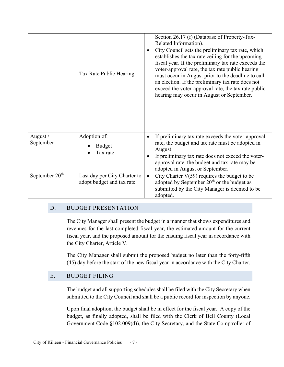|                            | Tax Rate Public Hearing                                   | Section 26.17 (f) (Database of Property-Tax-<br>Related Information).<br>City Council sets the preliminary tax rate, which<br>establishes the tax rate ceiling for the upcoming<br>fiscal year. If the preliminary tax rate exceeds the<br>voter-approval rate, the tax rate public hearing<br>must occur in August prior to the deadline to call<br>an election. If the preliminary tax rate does not<br>exceed the voter-approval rate, the tax rate public<br>hearing may occur in August or September. |
|----------------------------|-----------------------------------------------------------|------------------------------------------------------------------------------------------------------------------------------------------------------------------------------------------------------------------------------------------------------------------------------------------------------------------------------------------------------------------------------------------------------------------------------------------------------------------------------------------------------------|
| August /<br>September      | Adoption of:<br><b>Budget</b><br>Tax rate                 | If preliminary tax rate exceeds the voter-approval<br>$\bullet$<br>rate, the budget and tax rate must be adopted in<br>August.<br>If preliminary tax rate does not exceed the voter-<br>approval rate, the budget and tax rate may be<br>adopted in August or September.                                                                                                                                                                                                                                   |
| September 20 <sup>th</sup> | Last day per City Charter to<br>adopt budget and tax rate | City Charter $V(59)$ requires the budget to be<br>$\bullet$<br>adopted by September $20th$ or the budget as<br>submitted by the City Manager is deemed to be<br>adopted.                                                                                                                                                                                                                                                                                                                                   |

#### D. BUDGET PRESENTATION

The City Manager shall present the budget in a manner that shows expenditures and revenues for the last completed fiscal year, the estimated amount for the current fiscal year, and the proposed amount for the ensuing fiscal year in accordance with the City Charter, Article V.

The City Manager shall submit the proposed budget no later than the forty-fifth (45) day before the start of the new fiscal year in accordance with the City Charter.

#### E. BUDGET FILING

The budget and all supporting schedules shall be filed with the City Secretary when submitted to the City Council and shall be a public record for inspection by anyone.

Upon final adoption, the budget shall be in effect for the fiscal year. A copy of the budget, as finally adopted, shall be filed with the Clerk of Bell County (Local Government Code §102.009(d)), the City Secretary, and the State Comptroller of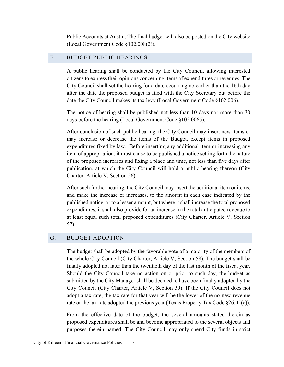Public Accounts at Austin. The final budget will also be posted on the City website (Local Government Code §102.008(2)).

#### F. BUDGET PUBLIC HEARINGS

A public hearing shall be conducted by the City Council, allowing interested citizens to express their opinions concerning items of expenditures or revenues. The City Council shall set the hearing for a date occurring no earlier than the 16th day after the date the proposed budget is filed with the City Secretary but before the date the City Council makes its tax levy (Local Government Code §102.006).

The notice of hearing shall be published not less than 10 days nor more than 30 days before the hearing (Local Government Code §102.0065).

After conclusion of such public hearing, the City Council may insert new items or may increase or decrease the items of the Budget, except items in proposed expenditures fixed by law. Before inserting any additional item or increasing any item of appropriation, it must cause to be published a notice setting forth the nature of the proposed increases and fixing a place and time, not less than five days after publication, at which the City Council will hold a public hearing thereon (City Charter, Article V, Section 56).

After such further hearing, the City Council may insert the additional item or items, and make the increase or increases, to the amount in each case indicated by the published notice, or to a lesser amount, but where it shall increase the total proposed expenditures, it shall also provide for an increase in the total anticipated revenue to at least equal such total proposed expenditures (City Charter, Article V, Section 57).

#### G. BUDGET ADOPTION

The budget shall be adopted by the favorable vote of a majority of the members of the whole City Council (City Charter, Article V, Section 58). The budget shall be finally adopted not later than the twentieth day of the last month of the fiscal year. Should the City Council take no action on or prior to such day, the budget as submitted by the City Manager shall be deemed to have been finally adopted by the City Council (City Charter, Article V, Section 59). If the City Council does not adopt a tax rate, the tax rate for that year will be the lower of the no-new-revenue rate or the tax rate adopted the previous year (Texas Property Tax Code §26.05(c)).

From the effective date of the budget, the several amounts stated therein as proposed expenditures shall be and become appropriated to the several objects and purposes therein named. The City Council may only spend City funds in strict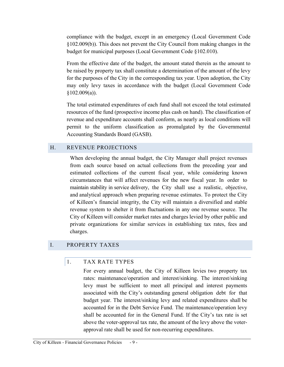compliance with the budget, except in an emergency (Local Government Code §102.009(b)). This does not prevent the City Council from making changes in the budget for municipal purposes (Local Government Code §102.010).

From the effective date of the budget, the amount stated therein as the amount to be raised by property tax shall constitute a determination of the amount of the levy for the purposes of the City in the corresponding tax year. Upon adoption, the City may only levy taxes in accordance with the budget (Local Government Code §102.009(a)).

The total estimated expenditures of each fund shall not exceed the total estimated resources of the fund (prospective income plus cash on hand). The classification of revenue and expenditure accounts shall conform, as nearly as local conditions will permit to the uniform classification as promulgated by the Governmental Accounting Standards Board (GASB).

#### H. REVENUE PROJECTIONS

When developing the annual budget, the City Manager shall project revenues from each source based on actual collections from the preceding year and estimated collections of the current fiscal year, while considering known circumstances that will affect revenues for the new fiscal year. In order to maintain stability in service delivery, the City shall use a realistic, objective, and analytical approach when preparing revenue estimates. To protect the City of Killeen's financial integrity, the City will maintain a diversified and stable revenue system to shelter it from fluctuations in any one revenue source. The City of Killeen will consider market rates and charges levied by other public and private organizations for similar services in establishing tax rates, fees and charges.

#### I. PROPERTY TAXES

#### 1. TAX RATE TYPES

For every annual budget, the City of Killeen levies two property tax rates: maintenance/operation and interest/sinking. The interest/sinking levy must be sufficient to meet all principal and interest payments associated with the City's outstanding general obligation debt for that budget year. The interest/sinking levy and related expenditures shall be accounted for in the Debt Service Fund. The maintenance/operation levy shall be accounted for in the General Fund. If the City's tax rate is set above the voter-approval tax rate, the amount of the levy above the voterapproval rate shall be used for non-recurring expenditures.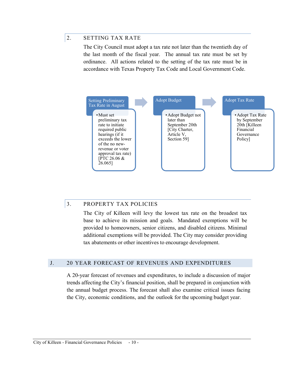#### 2. SETTING TAX RATE

The City Council must adopt a tax rate not later than the twentieth day of the last month of the fiscal year. The annual tax rate must be set by ordinance. All actions related to the setting of the tax rate must be in accordance with Texas Property Tax Code and Local Government Code.



#### 3. PROPERTY TAX POLICIES

The City of Killeen will levy the lowest tax rate on the broadest tax base to achieve its mission and goals. Mandated exemptions will be provided to homeowners, senior citizens, and disabled citizens. Minimal additional exemptions will be provided. The City may consider providing tax abatements or other incentives to encourage development.

#### J. 20 YEAR FORECAST OF REVENUES AND EXPENDITURES

A 20-year forecast of revenues and expenditures, to include a discussion of major trends affecting the City's financial position, shall be prepared in conjunction with the annual budget process. The forecast shall also examine critical issues facing the City, economic conditions, and the outlook for the upcoming budget year.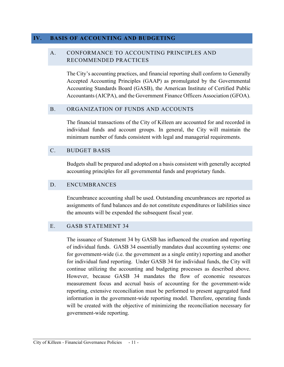#### <span id="page-10-0"></span>**IV. BASIS OF ACCOUNTING AND BUDGETING**

#### A. CONFORMANCE TO ACCOUNTING PRINCIPLES AND RECOMMENDED PRACTICES

The City's accounting practices, and financial reporting shall conform to Generally Accepted Accounting Principles (GAAP) as promulgated by the Governmental Accounting Standards Board (GASB), the American Institute of Certified Public Accountants (AICPA), and the Government Finance Officers Association (GFOA).

#### B. ORGANIZATION OF FUNDS AND ACCOUNTS

The financial transactions of the City of Killeen are accounted for and recorded in individual funds and account groups. In general, the City will maintain the minimum number of funds consistent with legal and managerial requirements.

#### C. BUDGET BASIS

Budgets shall be prepared and adopted on a basis consistent with generally accepted accounting principles for all governmental funds and proprietary funds.

#### D. ENCUMBRANCES

Encumbrance accounting shall be used. Outstanding encumbrances are reported as assignments of fund balances and do not constitute expenditures or liabilities since the amounts will be expended the subsequent fiscal year.

#### E. GASB STATEMENT 34

The issuance of Statement 34 by GASB has influenced the creation and reporting of individual funds. GASB 34 essentially mandates dual accounting systems: one for government-wide (i.e. the government as a single entity) reporting and another for individual fund reporting. Under GASB 34 for individual funds, the City will continue utilizing the accounting and budgeting processes as described above. However, because GASB 34 mandates the flow of economic resources measurement focus and accrual basis of accounting for the government-wide reporting, extensive reconciliation must be performed to present aggregated fund information in the government-wide reporting model. Therefore, operating funds will be created with the objective of minimizing the reconciliation necessary for government-wide reporting.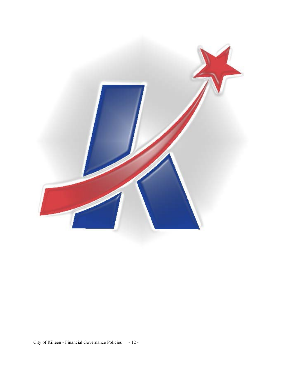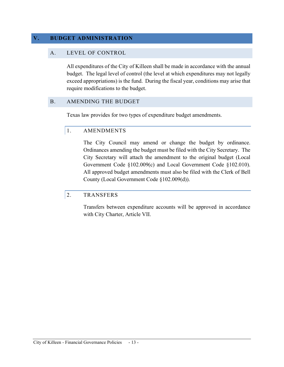#### <span id="page-12-0"></span>**V. BUDGET ADMINISTRATION**

#### A. LEVEL OF CONTROL

All expenditures of the City of Killeen shall be made in accordance with the annual budget. The legal level of control (the level at which expenditures may not legally exceed appropriations) is the fund. During the fiscal year, conditions may arise that require modifications to the budget.

#### B. AMENDING THE BUDGET

Texas law provides for two types of expenditure budget amendments.

#### 1. AMENDMENTS

The City Council may amend or change the budget by ordinance. Ordinances amending the budget must be filed with the City Secretary. The City Secretary will attach the amendment to the original budget (Local Government Code §102.009(c) and Local Government Code §102.010). All approved budget amendments must also be filed with the Clerk of Bell County (Local Government Code §102.009(d)).

#### 2. TRANSFERS

Transfers between expenditure accounts will be approved in accordance with City Charter, Article VII.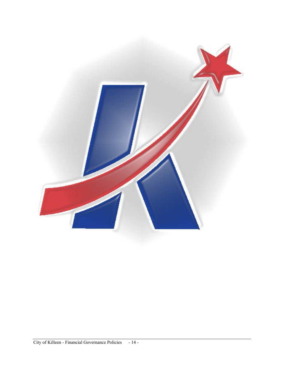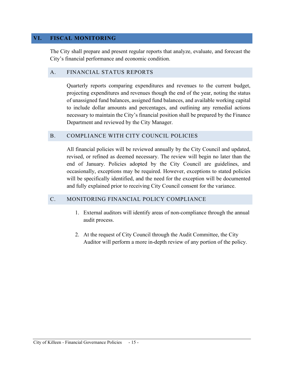#### <span id="page-14-0"></span>**VI. FISCAL MONITORING**

The City shall prepare and present regular reports that analyze, evaluate, and forecast the City's financial performance and economic condition.

#### A. FINANCIAL STATUS REPORTS

Quarterly reports comparing expenditures and revenues to the current budget, projecting expenditures and revenues though the end of the year, noting the status of unassigned fund balances, assigned fund balances, and available working capital to include dollar amounts and percentages, and outlining any remedial actions necessary to maintain the City's financial position shall be prepared by the Finance Department and reviewed by the City Manager.

#### B. COMPLIANCE WITH CITY COUNCIL POLICIES

All financial policies will be reviewed annually by the City Council and updated, revised, or refined as deemed necessary. The review will begin no later than the end of January. Policies adopted by the City Council are guidelines, and occasionally, exceptions may be required. However, exceptions to stated policies will be specifically identified, and the need for the exception will be documented and fully explained prior to receiving City Council consent for the variance.

#### C. MONITORING FINANCIAL POLICY COMPLIANCE

- 1. External auditors will identify areas of non-compliance through the annual audit process.
- 2. At the request of City Council through the Audit Committee, the City Auditor will perform a more in-depth review of any portion of the policy.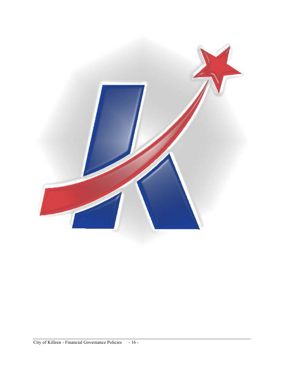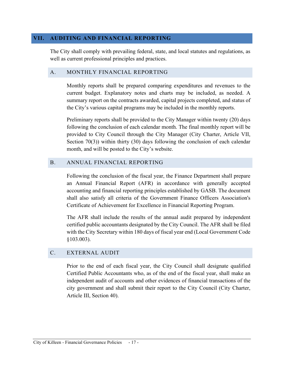#### <span id="page-16-0"></span>**VII. AUDITING AND FINANCIAL REPORTING**

The City shall comply with prevailing federal, state, and local statutes and regulations, as well as current professional principles and practices.

#### A. MONTHLY FINANCIAL REPORTING

Monthly reports shall be prepared comparing expenditures and revenues to the current budget. Explanatory notes and charts may be included, as needed. A summary report on the contracts awarded, capital projects completed, and status of the City's various capital programs may be included in the monthly reports.

Preliminary reports shall be provided to the City Manager within twenty (20) days following the conclusion of each calendar month. The final monthly report will be provided to City Council through the City Manager (City Charter, Article VII, Section  $70(3)$ ) within thirty (30) days following the conclusion of each calendar month, and will be posted to the City's website.

#### B. ANNUAL FINANCIAL REPORTING

Following the conclusion of the fiscal year, the Finance Department shall prepare an Annual Financial Report (AFR) in accordance with generally accepted accounting and financial reporting principles established by GASB. The document shall also satisfy all criteria of the Government Finance Officers Association's Certificate of Achievement for Excellence in Financial Reporting Program.

The AFR shall include the results of the annual audit prepared by independent certified public accountants designated by the City Council. The AFR shall be filed with the City Secretary within 180 days of fiscal year end (Local Government Code §103.003).

#### C. EXTERNAL AUDIT

Prior to the end of each fiscal year, the City Council shall designate qualified Certified Public Accountants who, as of the end of the fiscal year, shall make an independent audit of accounts and other evidences of financial transactions of the city government and shall submit their report to the City Council (City Charter, Article III, Section 40).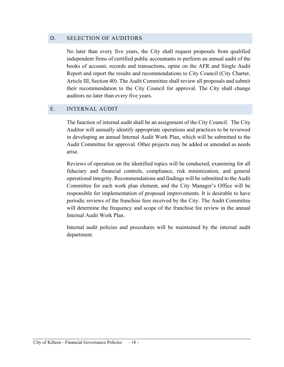#### D. SELECTION OF AUDITORS

No later than every five years, the City shall request proposals from qualified independent firms of certified public accountants to perform an annual audit of the books of account, records and transactions, opine on the AFR and Single Audit Report and report the results and recommendations to City Council (City Charter, Article III, Section 40). The Audit Committee shall review all proposals and submit their recommendation to the City Council for approval. The City shall change auditors no later than every five years.

#### E. INTERNAL AUDIT

The function of internal audit shall be an assignment of the City Council. The City Auditor will annually identify appropriate operations and practices to be reviewed in developing an annual Internal Audit Work Plan, which will be submitted to the Audit Committee for approval. Other projects may be added or amended as needs arise.

Reviews of operation on the identified topics will be conducted, examining for all fiduciary and financial controls, compliance, risk minimization, and general operational integrity. Recommendations and findings will be submitted to the Audit Committee for each work plan element, and the City Manager's Office will be responsible for implementation of proposed improvements. It is desirable to have periodic reviews of the franchise fees received by the City. The Audit Committee will determine the frequency and scope of the franchise fee review in the annual Internal Audit Work Plan.

Internal audit policies and procedures will be maintained by the internal audit department.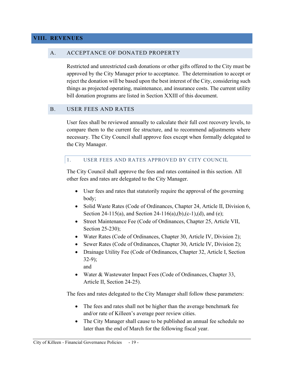#### <span id="page-18-0"></span>**VIII. REVENUES**

#### A. ACCEPTANCE OF DONATED PROPERTY

Restricted and unrestricted cash donations or other gifts offered to the City must be approved by the City Manager prior to acceptance. The determination to accept or reject the donation will be based upon the best interest of the City, considering such things as projected operating, maintenance, and insurance costs. The current utility bill donation programs are listed in Section XXIII of this document.

#### B. USER FEES AND RATES

User fees shall be reviewed annually to calculate their full cost recovery levels, to compare them to the current fee structure, and to recommend adjustments where necessary. The City Council shall approve fees except when formally delegated to the City Manager.

#### 1. USER FEES AND RATES APPROVED BY CITY COUNCIL

The City Council shall approve the fees and rates contained in this section. All other fees and rates are delegated to the City Manager.

- User fees and rates that statutorily require the approval of the governing body;
- Solid Waste Rates (Code of Ordinances, Chapter 24, Article II, Division 6, Section 24-115(a), and Section 24-116(a),(b),(c-1),(d), and (e);
- Street Maintenance Fee (Code of Ordinances, Chapter 25, Article VII, Section 25-230);
- Water Rates (Code of Ordinances, Chapter 30, Article IV, Division 2);
- Sewer Rates (Code of Ordinances, Chapter 30, Article IV, Division 2);
- Drainage Utility Fee (Code of Ordinances, Chapter 32, Article I, Section 32-9);

and

Water & Wastewater Impact Fees (Code of Ordinances, Chapter 33, Article II, Section 24-25).

The fees and rates delegated to the City Manager shall follow these parameters:

- The fees and rates shall not be higher than the average benchmark fee and/or rate of Killeen's average peer review cities.
- The City Manager shall cause to be published an annual fee schedule no later than the end of March for the following fiscal year.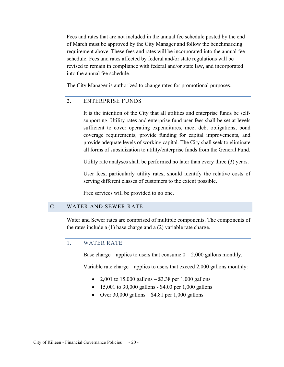Fees and rates that are not included in the annual fee schedule posted by the end of March must be approved by the City Manager and follow the benchmarking requirement above. These fees and rates will be incorporated into the annual fee schedule. Fees and rates affected by federal and/or state regulations will be revised to remain in compliance with federal and/or state law, and incorporated into the annual fee schedule.

The City Manager is authorized to change rates for promotional purposes.

#### 2. ENTERPRISE FUNDS

It is the intention of the City that all utilities and enterprise funds be selfsupporting. Utility rates and enterprise fund user fees shall be set at levels sufficient to cover operating expenditures, meet debt obligations, bond coverage requirements, provide funding for capital improvements, and provide adequate levels of working capital. The City shall seek to eliminate all forms of subsidization to utility/enterprise funds from the General Fund.

Utility rate analyses shall be performed no later than every three (3) years.

User fees, particularly utility rates, should identify the relative costs of serving different classes of customers to the extent possible.

Free services will be provided to no one.

#### C. WATER AND SEWER RATE

Water and Sewer rates are comprised of multiple components. The components of the rates include a (1) base charge and a (2) variable rate charge.

#### 1. WATER RATE

Base charge – applies to users that consume  $0 - 2,000$  gallons monthly.

Variable rate charge – applies to users that exceed 2,000 gallons monthly:

- 2,001 to 15,000 gallons \$3.38 per 1,000 gallons
- 15,001 to 30,000 gallons \$4.03 per 1,000 gallons
- Over 30,000 gallons  $$4.81$  per 1,000 gallons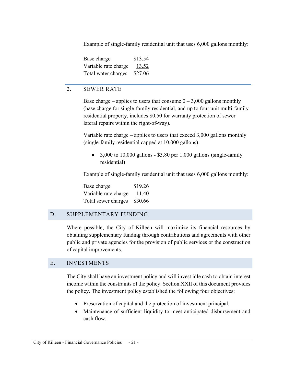Example of single-family residential unit that uses 6,000 gallons monthly:

| Base charge          | \$13.54 |
|----------------------|---------|
| Variable rate charge | 13.52   |
| Total water charges  | \$27.06 |

#### 2. SEWER RATE

Base charge – applies to users that consume  $0 - 3,000$  gallons monthly (base charge for single-family residential, and up to four unit multi-family residential property, includes \$0.50 for warranty protection of sewer lateral repairs within the right-of-way).

Variable rate charge – applies to users that exceed 3,000 gallons monthly (single-family residential capped at 10,000 gallons).

• 3,000 to 10,000 gallons - \$3.80 per 1,000 gallons (single-family residential)

Example of single-family residential unit that uses 6,000 gallons monthly:

Base charge \$19.26 Variable rate charge 11.40 Total sewer charges \$30.66

#### D. SUPPLEMENTARY FUNDING

Where possible, the City of Killeen will maximize its financial resources by obtaining supplementary funding through contributions and agreements with other public and private agencies for the provision of public services or the construction of capital improvements.

#### E. INVESTMENTS

The City shall have an investment policy and will invest idle cash to obtain interest income within the constraints of the policy. Section XXII of this document provides the policy. The investment policy established the following four objectives:

- Preservation of capital and the protection of investment principal.
- Maintenance of sufficient liquidity to meet anticipated disbursement and cash flow.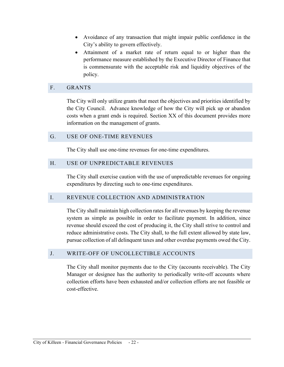- Avoidance of any transaction that might impair public confidence in the City's ability to govern effectively.
- Attainment of a market rate of return equal to or higher than the performance measure established by the Executive Director of Finance that is commensurate with the acceptable risk and liquidity objectives of the policy.

#### F. GRANTS

The City will only utilize grants that meet the objectives and priorities identified by the City Council. Advance knowledge of how the City will pick up or abandon costs when a grant ends is required. Section XX of this document provides more information on the management of grants.

#### G. USE OF ONE-TIME REVENUES

The City shall use one-time revenues for one-time expenditures.

#### H. USE OF UNPREDICTABLE REVENUES

The City shall exercise caution with the use of unpredictable revenues for ongoing expenditures by directing such to one-time expenditures.

#### I. REVENUE COLLECTION AND ADMINISTRATION

The City shall maintain high collection rates for all revenues by keeping the revenue system as simple as possible in order to facilitate payment. In addition, since revenue should exceed the cost of producing it, the City shall strive to control and reduce administrative costs. The City shall, to the full extent allowed by state law, pursue collection of all delinquent taxes and other overdue payments owed the City.

#### J. WRITE-OFF OF UNCOLLECTIBLE ACCOUNTS

The City shall monitor payments due to the City (accounts receivable). The City Manager or designee has the authority to periodically write-off accounts where collection efforts have been exhausted and/or collection efforts are not feasible or cost-effective.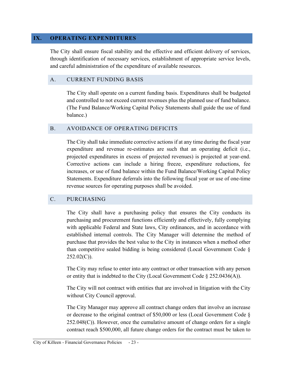#### <span id="page-22-0"></span>**IX. OPERATING EXPENDITURES**

The City shall ensure fiscal stability and the effective and efficient delivery of services, through identification of necessary services, establishment of appropriate service levels, and careful administration of the expenditure of available resources.

#### A. CURRENT FUNDING BASIS

The City shall operate on a current funding basis. Expenditures shall be budgeted and controlled to not exceed current revenues plus the planned use of fund balance. (The Fund Balance/Working Capital Policy Statements shall guide the use of fund balance.)

#### B. AVOIDANCE OF OPERATING DEFICITS

The City shall take immediate corrective actions if at any time during the fiscal year expenditure and revenue re-estimates are such that an operating deficit (i.e., projected expenditures in excess of projected revenues) is projected at year-end. Corrective actions can include a hiring freeze, expenditure reductions, fee increases, or use of fund balance within the Fund Balance/Working Capital Policy Statements. Expenditure deferrals into the following fiscal year or use of one-time revenue sources for operating purposes shall be avoided.

#### C. PURCHASING

The City shall have a purchasing policy that ensures the City conducts its purchasing and procurement functions efficiently and effectively, fully complying with applicable Federal and State laws, City ordinances, and in accordance with established internal controls. The City Manager will determine the method of purchase that provides the best value to the City in instances when a method other than competitive sealed bidding is being considered (Local Government Code §  $252.02(C)$ ).

The City may refuse to enter into any contract or other transaction with any person or entity that is indebted to the City (Local Government Code  $\S 252.0436(A)$ ).

The City will not contract with entities that are involved in litigation with the City without City Council approval.

The City Manager may approve all contract change orders that involve an increase or decrease to the original contract of \$50,000 or less (Local Government Code §  $252.048(C)$ ). However, once the cumulative amount of change orders for a single contract reach \$500,000, all future change orders for the contract must be taken to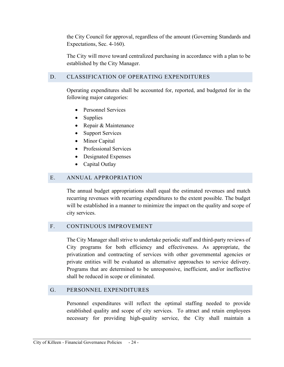the City Council for approval, regardless of the amount (Governing Standards and Expectations, Sec. 4-160).

The City will move toward centralized purchasing in accordance with a plan to be established by the City Manager.

#### D. CLASSIFICATION OF OPERATING EXPENDITURES

Operating expenditures shall be accounted for, reported, and budgeted for in the following major categories:

- Personnel Services
- Supplies
- Repair & Maintenance
- Support Services
- Minor Capital
- Professional Services
- Designated Expenses
- Capital Outlay

#### E. ANNUAL APPROPRIATION

The annual budget appropriations shall equal the estimated revenues and match recurring revenues with recurring expenditures to the extent possible. The budget will be established in a manner to minimize the impact on the quality and scope of city services.

#### F. CONTINUOUS IMPROVEMENT

The City Manager shall strive to undertake periodic staff and third-party reviews of City programs for both efficiency and effectiveness. As appropriate, the privatization and contracting of services with other governmental agencies or private entities will be evaluated as alternative approaches to service delivery. Programs that are determined to be unresponsive, inefficient, and/or ineffective shall be reduced in scope or eliminated.

#### G. PERSONNEL EXPENDITURES

Personnel expenditures will reflect the optimal staffing needed to provide established quality and scope of city services. To attract and retain employees necessary for providing high-quality service, the City shall maintain a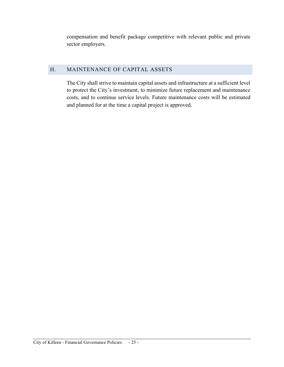compensation and benefit package competitive with relevant public and private sector employers.

#### H. MAINTENANCE OF CAPITAL ASSETS

The City shall strive to maintain capital assets and infrastructure at a sufficient level to protect the City's investment, to minimize future replacement and maintenance costs, and to continue service levels. Future maintenance costs will be estimated and planned for at the time a capital project is approved.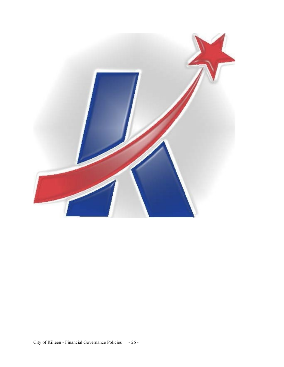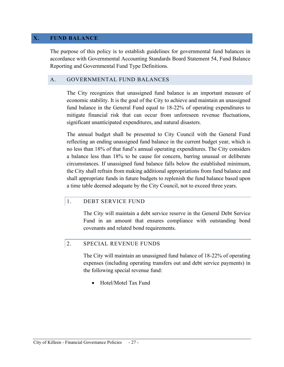#### <span id="page-26-0"></span>**X. FUND BALANCE**

The purpose of this policy is to establish guidelines for governmental fund balances in accordance with Governmental Accounting Standards Board Statement 54, Fund Balance Reporting and Governmental Fund Type Definitions.

#### A. GOVERNMENTAL FUND BALANCES

The City recognizes that unassigned fund balance is an important measure of economic stability. It is the goal of the City to achieve and maintain an unassigned fund balance in the General Fund equal to 18-22% of operating expenditures to mitigate financial risk that can occur from unforeseen revenue fluctuations, significant unanticipated expenditures, and natural disasters.

The annual budget shall be presented to City Council with the General Fund reflecting an ending unassigned fund balance in the current budget year, which is no less than 18% of that fund's annual operating expenditures. The City considers a balance less than 18% to be cause for concern, barring unusual or deliberate circumstances. If unassigned fund balance falls below the established minimum, the City shall refrain from making additional appropriations from fund balance and shall appropriate funds in future budgets to replenish the fund balance based upon a time table deemed adequate by the City Council, not to exceed three years.

#### 1. DEBT SERVICE FUND

The City will maintain a debt service reserve in the General Debt Service Fund in an amount that ensures compliance with outstanding bond covenants and related bond requirements.

#### 2. SPECIAL REVENUE FUNDS

The City will maintain an unassigned fund balance of 18-22% of operating expenses (including operating transfers out and debt service payments) in the following special revenue fund:

• Hotel/Motel Tax Fund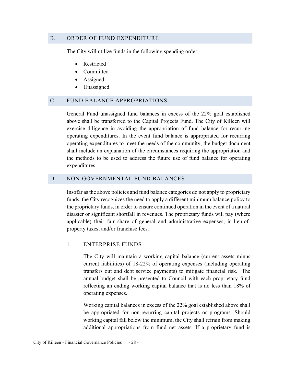#### B. ORDER OF FUND EXPENDITURE

The City will utilize funds in the following spending order:

- Restricted
- Committed
- **Assigned**
- Unassigned

#### C. FUND BALANCE APPROPRIATIONS

General Fund unassigned fund balances in excess of the 22% goal established above shall be transferred to the Capital Projects Fund. The City of Killeen will exercise diligence in avoiding the appropriation of fund balance for recurring operating expenditures. In the event fund balance is appropriated for recurring operating expenditures to meet the needs of the community, the budget document shall include an explanation of the circumstances requiring the appropriation and the methods to be used to address the future use of fund balance for operating expenditures.

#### D. NON-GOVERNMENTAL FUND BALANCES

Insofar as the above policies and fund balance categories do not apply to proprietary funds, the City recognizes the need to apply a different minimum balance policy to the proprietary funds, in order to ensure continued operation in the event of a natural disaster or significant shortfall in revenues. The proprietary funds will pay (where applicable) their fair share of general and administrative expenses, in-lieu-ofproperty taxes, and/or franchise fees.

#### 1. ENTERPRISE FUNDS

The City will maintain a working capital balance (current assets minus current liabilities) of 18-22% of operating expenses (including operating transfers out and debt service payments) to mitigate financial risk. The annual budget shall be presented to Council with each proprietary fund reflecting an ending working capital balance that is no less than 18% of operating expenses.

Working capital balances in excess of the 22% goal established above shall be appropriated for non-recurring capital projects or programs. Should working capital fall below the minimum, the City shall refrain from making additional appropriations from fund net assets. If a proprietary fund is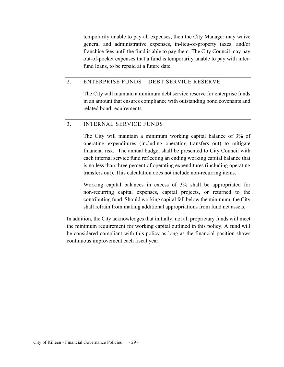temporarily unable to pay all expenses, then the City Manager may waive general and administrative expenses, in-lieu-of-property taxes, and/or franchise fees until the fund is able to pay them. The City Council may pay out-of-pocket expenses that a fund is temporarily unable to pay with interfund loans, to be repaid at a future date.

#### 2. ENTERPRISE FUNDS – DEBT SERVICE RESERVE

The City will maintain a minimum debt service reserve for enterprise funds in an amount that ensures compliance with outstanding bond covenants and related bond requirements.

#### 3. INTERNAL SERVICE FUNDS

The City will maintain a minimum working capital balance of 3% of operating expenditures (including operating transfers out) to mitigate financial risk. The annual budget shall be presented to City Council with each internal service fund reflecting an ending working capital balance that is no less than three percent of operating expenditures (including operating transfers out). This calculation does not include non-recurring items.

Working capital balances in excess of 3% shall be appropriated for non-recurring capital expenses, capital projects, or returned to the contributing fund. Should working capital fall below the minimum, the City shall refrain from making additional appropriations from fund net assets.

In addition, the City acknowledges that initially, not all proprietary funds will meet the minimum requirement for working capital outlined in this policy. A fund will be considered compliant with this policy as long as the financial position shows continuous improvement each fiscal year.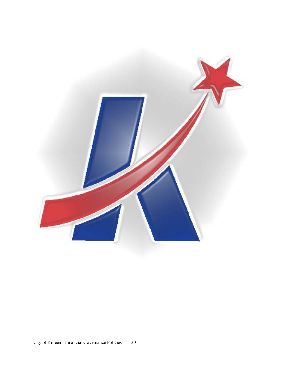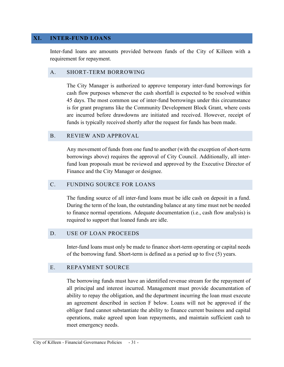#### <span id="page-30-0"></span>**XI. INTER-FUND LOANS**

Inter-fund loans are amounts provided between funds of the City of Killeen with a requirement for repayment.

#### A. SHORT-TERM BORROWING

The City Manager is authorized to approve temporary inter-fund borrowings for cash flow purposes whenever the cash shortfall is expected to be resolved within 45 days. The most common use of inter-fund borrowings under this circumstance is for grant programs like the Community Development Block Grant, where costs are incurred before drawdowns are initiated and received. However, receipt of funds is typically received shortly after the request for funds has been made.

#### B. REVIEW AND APPROVAL

Any movement of funds from one fund to another (with the exception of short-term borrowings above) requires the approval of City Council. Additionally, all interfund loan proposals must be reviewed and approved by the Executive Director of Finance and the City Manager or designee.

#### C. FUNDING SOURCE FOR LOANS

The funding source of all inter-fund loans must be idle cash on deposit in a fund. During the term of the loan, the outstanding balance at any time must not be needed to finance normal operations. Adequate documentation (i.e., cash flow analysis) is required to support that loaned funds are idle.

#### D. USE OF LOAN PROCEEDS

Inter-fund loans must only be made to finance short-term operating or capital needs of the borrowing fund. Short-term is defined as a period up to five (5) years.

#### E. REPAYMENT SOURCE

The borrowing funds must have an identified revenue stream for the repayment of all principal and interest incurred. Management must provide documentation of ability to repay the obligation, and the department incurring the loan must execute an agreement described in section F below. Loans will not be approved if the obligor fund cannot substantiate the ability to finance current business and capital operations, make agreed upon loan repayments, and maintain sufficient cash to meet emergency needs.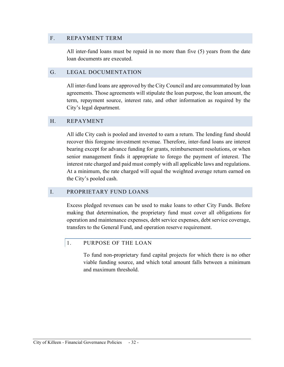#### F. REPAYMENT TERM

All inter-fund loans must be repaid in no more than five (5) years from the date loan documents are executed.

#### G. LEGAL DOCUMENTATION

All inter-fund loans are approved by the City Council and are consummated by loan agreements. Those agreements will stipulate the loan purpose, the loan amount, the term, repayment source, interest rate, and other information as required by the City's legal department.

#### H. REPAYMENT

All idle City cash is pooled and invested to earn a return. The lending fund should recover this foregone investment revenue. Therefore, inter-fund loans are interest bearing except for advance funding for grants, reimbursement resolutions, or when senior management finds it appropriate to forego the payment of interest. The interest rate charged and paid must comply with all applicable laws and regulations. At a minimum, the rate charged will equal the weighted average return earned on the City's pooled cash.

#### I. PROPRIETARY FUND LOANS

Excess pledged revenues can be used to make loans to other City Funds. Before making that determination, the proprietary fund must cover all obligations for operation and maintenance expenses, debt service expenses, debt service coverage, transfers to the General Fund, and operation reserve requirement.

#### 1. PURPOSE OF THE LOAN

To fund non-proprietary fund capital projects for which there is no other viable funding source, and which total amount falls between a minimum and maximum threshold.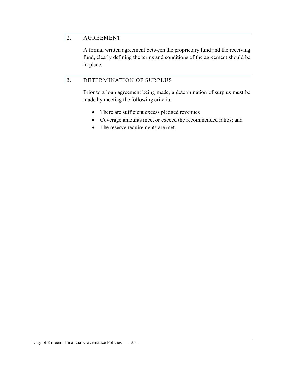#### 2. AGREEMENT

A formal written agreement between the proprietary fund and the receiving fund, clearly defining the terms and conditions of the agreement should be in place.

### 3. DETERMINATION OF SURPLUS

Prior to a loan agreement being made, a determination of surplus must be made by meeting the following criteria:

- There are sufficient excess pledged revenues
- Coverage amounts meet or exceed the recommended ratios; and
- The reserve requirements are met.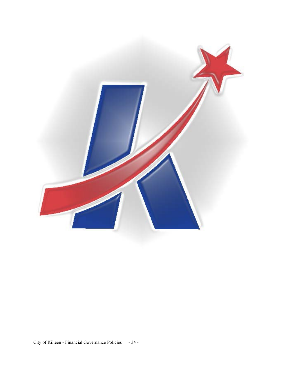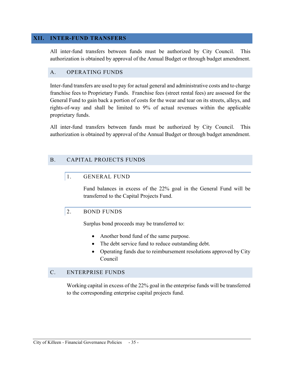#### <span id="page-34-0"></span>**XII. INTER-FUND TRANSFERS**

All inter-fund transfers between funds must be authorized by City Council. This authorization is obtained by approval of the Annual Budget or through budget amendment.

#### A. OPERATING FUNDS

Inter-fund transfers are used to pay for actual general and administrative costs and to charge franchise fees to Proprietary Funds. Franchise fees (street rental fees) are assessed for the General Fund to gain back a portion of costs for the wear and tear on its streets, alleys, and rights-of-way and shall be limited to 9% of actual revenues within the applicable proprietary funds.

All inter-fund transfers between funds must be authorized by City Council. This authorization is obtained by approval of the Annual Budget or through budget amendment.

#### B. CAPITAL PROJECTS FUNDS

#### 1. GENERAL FUND

Fund balances in excess of the 22% goal in the General Fund will be transferred to the Capital Projects Fund.

#### 2. BOND FUNDS

Surplus bond proceeds may be transferred to:

- Another bond fund of the same purpose.
- The debt service fund to reduce outstanding debt.
- Operating funds due to reimbursement resolutions approved by City Council

#### C. ENTERPRISE FUNDS

Working capital in excess of the 22% goal in the enterprise funds will be transferred to the corresponding enterprise capital projects fund.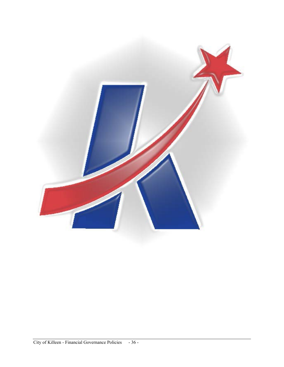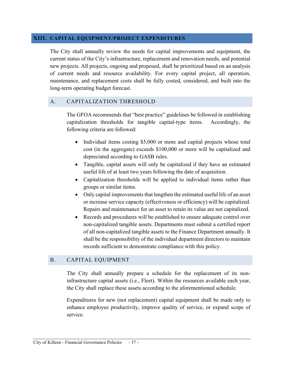## **XIII. CAPITAL EQUIPMENT/PROJECT EXPENDITURES**

The City shall annually review the needs for capital improvements and equipment, the current status of the City's infrastructure, replacement and renovation needs, and potential new projects. All projects, ongoing and proposed, shall be prioritized based on an analysis of current needs and resource availability. For every capital project, all operation, maintenance, and replacement costs shall be fully costed, considered, and built into the long-term operating budget forecast.

## A. CAPITALIZATION THRESHOLD

The GFOA recommends that "best practice" guidelines be followed in establishing capitalization thresholds for tangible capital-type items. Accordingly, the following criteria are followed:

- Individual items costing \$5,000 or more and capital projects whose total cost (in the aggregate) exceeds \$100,000 or more will be capitalized and depreciated according to GASB rules.
- Tangible, capital assets will only be capitalized if they have an estimated useful life of at least two years following the date of acquisition.
- Capitalization thresholds will be applied to individual items rather than groups or similar items.
- Only capital improvements that lengthen the estimated useful life of an asset or increase service capacity (effectiveness or efficiency) will be capitalized. Repairs and maintenance for an asset to retain its value are not capitalized.
- Records and procedures will be established to ensure adequate control over non-capitalized tangible assets. Departments must submit a certified report of all non-capitalized tangible assets to the Finance Department annually. It shall be the responsibility of the individual department directors to maintain records sufficient to demonstrate compliance with this policy.

# B. CAPITAL EQUIPMENT

The City shall annually prepare a schedule for the replacement of its noninfrastructure capital assets (i.e., Fleet). Within the resources available each year, the City shall replace these assets according to the aforementioned schedule.

Expenditures for new (not replacement) capital equipment shall be made only to enhance employee productivity, improve quality of service, or expand scope of service.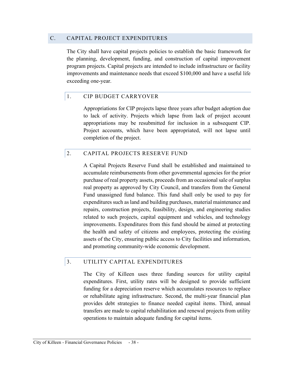## C. CAPITAL PROJECT EXPENDITURES

The City shall have capital projects policies to establish the basic framework for the planning, development, funding, and construction of capital improvement program projects. Capital projects are intended to include infrastructure or facility improvements and maintenance needs that exceed \$100,000 and have a useful life exceeding one-year.

# 1. CIP BUDGET CARRYOVER

Appropriations for CIP projects lapse three years after budget adoption due to lack of activity. Projects which lapse from lack of project account appropriations may be resubmitted for inclusion in a subsequent CIP. Project accounts, which have been appropriated, will not lapse until completion of the project.

# 2. CAPITAL PROJECTS RESERVE FUND

A Capital Projects Reserve Fund shall be established and maintained to accumulate reimbursements from other governmental agencies for the prior purchase of real property assets, proceeds from an occasional sale of surplus real property as approved by City Council, and transfers from the General Fund unassigned fund balance. This fund shall only be used to pay for expenditures such as land and building purchases, material maintenance and repairs, construction projects, feasibility, design, and engineering studies related to such projects, capital equipment and vehicles, and technology improvements. Expenditures from this fund should be aimed at protecting the health and safety of citizens and employees, protecting the existing assets of the City, ensuring public access to City facilities and information, and promoting community-wide economic development.

# 3. UTILITY CAPITAL EXPENDITURES

The City of Killeen uses three funding sources for utility capital expenditures. First, utility rates will be designed to provide sufficient funding for a depreciation reserve which accumulates resources to replace or rehabilitate aging infrastructure. Second, the multi-year financial plan provides debt strategies to finance needed capital items. Third, annual transfers are made to capital rehabilitation and renewal projects from utility operations to maintain adequate funding for capital items.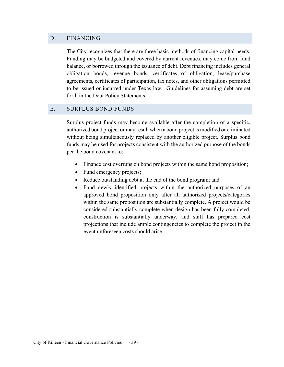## D. FINANCING

The City recognizes that there are three basic methods of financing capital needs. Funding may be budgeted and covered by current revenues, may come from fund balance, or borrowed through the issuance of debt. Debt financing includes general obligation bonds, revenue bonds, certificates of obligation, lease/purchase agreements, certificates of participation, tax notes, and other obligations permitted to be issued or incurred under Texas law. Guidelines for assuming debt are set forth in the Debt Policy Statements.

### E. SURPLUS BOND FUNDS

Surplus project funds may become available after the completion of a specific, authorized bond project or may result when a bond project is modified or eliminated without being simultaneously replaced by another eligible project. Surplus bond funds may be used for projects consistent with the authorized purpose of the bonds per the bond covenant to:

- Finance cost overruns on bond projects within the same bond proposition;
- Fund emergency projects;
- Reduce outstanding debt at the end of the bond program; and
- Fund newly identified projects within the authorized purposes of an approved bond proposition only after all authorized projects/categories within the same proposition are substantially complete. A project would be considered substantially complete when design has been fully completed, construction is substantially underway, and staff has prepared cost projections that include ample contingencies to complete the project in the event unforeseen costs should arise.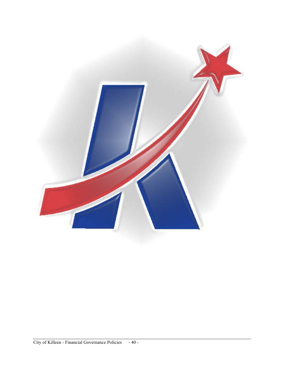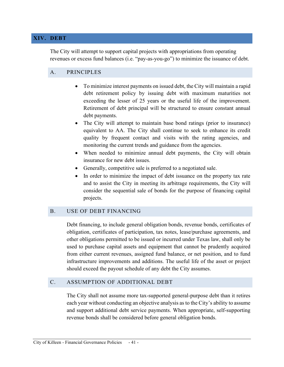# **XIV. DEBT**

The City will attempt to support capital projects with appropriations from operating revenues or excess fund balances (i.e. "pay-as-you-go") to minimize the issuance of debt.

### A. PRINCIPLES

- To minimize interest payments on issued debt, the City will maintain a rapid debt retirement policy by issuing debt with maximum maturities not exceeding the lesser of 25 years or the useful life of the improvement. Retirement of debt principal will be structured to ensure constant annual debt payments.
- The City will attempt to maintain base bond ratings (prior to insurance) equivalent to AA. The City shall continue to seek to enhance its credit quality by frequent contact and visits with the rating agencies, and monitoring the current trends and guidance from the agencies.
- When needed to minimize annual debt payments, the City will obtain insurance for new debt issues.
- Generally, competitive sale is preferred to a negotiated sale.
- In order to minimize the impact of debt issuance on the property tax rate and to assist the City in meeting its arbitrage requirements, the City will consider the sequential sale of bonds for the purpose of financing capital projects.

## B. USE OF DEBT FINANCING

Debt financing, to include general obligation bonds, revenue bonds, certificates of obligation, certificates of participation, tax notes, lease/purchase agreements, and other obligations permitted to be issued or incurred under Texas law, shall only be used to purchase capital assets and equipment that cannot be prudently acquired from either current revenues, assigned fund balance, or net position, and to fund infrastructure improvements and additions. The useful life of the asset or project should exceed the payout schedule of any debt the City assumes.

## C. ASSUMPTION OF ADDITIONAL DEBT

The City shall not assume more tax-supported general-purpose debt than it retires each year without conducting an objective analysis as to the City's ability to assume and support additional debt service payments. When appropriate, self-supporting revenue bonds shall be considered before general obligation bonds.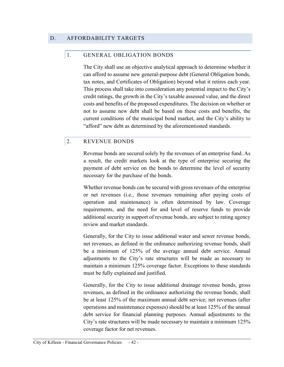# 1. GENERAL OBLIGATION BONDS

The City shall use an objective analytical approach to determine whether it can afford to assume new general-purpose debt (General Obligation bonds, tax notes, and Certificates of Obligation) beyond what it retires each year. This process shall take into consideration any potential impact to the City's credit ratings, the growth in the City's taxable assessed value, and the direct costs and benefits of the proposed expenditures. The decision on whether or not to assume new debt shall be based on these costs and benefits, the current conditions of the municipal bond market, and the City's ability to "afford" new debt as determined by the aforementioned standards.

# 2. REVENUE BONDS

Revenue bonds are secured solely by the revenues of an enterprise fund. As a result, the credit markets look at the type of enterprise securing the payment of debt service on the bonds to determine the level of security necessary for the purchase of the bonds.

Whether revenue bonds can be secured with gross revenues of the enterprise or net revenues (i.e., those revenues remaining after paying costs of operation and maintenance) is often determined by law. Coverage requirements, and the need for and level of reserve funds to provide additional security in support of revenue bonds, are subject to rating agency review and market standards.

Generally, for the City to issue additional water and sewer revenue bonds, net revenues, as defined in the ordinance authorizing revenue bonds, shall be a minimum of 125% of the average annual debt service. Annual adjustments to the City's rate structures will be made as necessary to maintain a minimum 125% coverage factor. Exceptions to these standards must be fully explained and justified.

Generally, for the City to issue additional drainage revenue bonds, gross revenues, as defined in the ordinance authorizing the revenue bonds, shall be at least 125% of the maximum annual debt service; net revenues (after operations and maintenance expenses) should be at least 125% of the annual debt service for financial planning purposes. Annual adjustments to the City's rate structures will be made necessary to maintain a minimum 125% coverage factor for net revenues.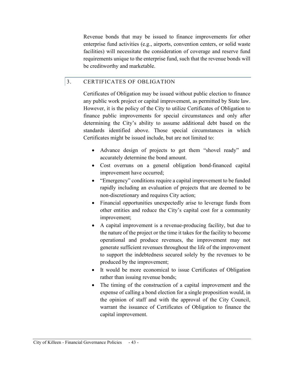Revenue bonds that may be issued to finance improvements for other enterprise fund activities (e.g., airports, convention centers, or solid waste facilities) will necessitate the consideration of coverage and reserve fund requirements unique to the enterprise fund, such that the revenue bonds will be creditworthy and marketable.

# 3. CERTIFICATES OF OBLIGATION

Certificates of Obligation may be issued without public election to finance any public work project or capital improvement, as permitted by State law. However, it is the policy of the City to utilize Certificates of Obligation to finance public improvements for special circumstances and only after determining the City's ability to assume additional debt based on the standards identified above. Those special circumstances in which Certificates might be issued include, but are not limited to:

- Advance design of projects to get them "shovel ready" and accurately determine the bond amount.
- Cost overruns on a general obligation bond-financed capital improvement have occurred;
- "Emergency" conditions require a capital improvement to be funded rapidly including an evaluation of projects that are deemed to be non-discretionary and requires City action;
- Financial opportunities unexpectedly arise to leverage funds from other entities and reduce the City's capital cost for a community improvement;
- A capital improvement is a revenue-producing facility, but due to the nature of the project or the time it takes for the facility to become operational and produce revenues, the improvement may not generate sufficient revenues throughout the life of the improvement to support the indebtedness secured solely by the revenues to be produced by the improvement;
- It would be more economical to issue Certificates of Obligation rather than issuing revenue bonds;
- The timing of the construction of a capital improvement and the expense of calling a bond election for a single proposition would, in the opinion of staff and with the approval of the City Council, warrant the issuance of Certificates of Obligation to finance the capital improvement.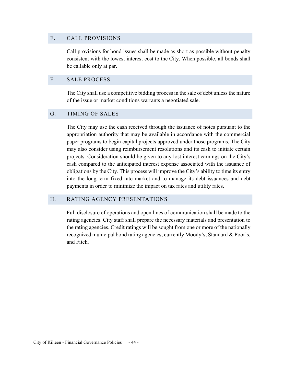### E. CALL PROVISIONS

Call provisions for bond issues shall be made as short as possible without penalty consistent with the lowest interest cost to the City. When possible, all bonds shall be callable only at par.

### F. SALE PROCESS

The City shall use a competitive bidding process in the sale of debt unless the nature of the issue or market conditions warrants a negotiated sale.

## G. TIMING OF SALES

The City may use the cash received through the issuance of notes pursuant to the appropriation authority that may be available in accordance with the commercial paper programs to begin capital projects approved under those programs. The City may also consider using reimbursement resolutions and its cash to initiate certain projects. Consideration should be given to any lost interest earnings on the City's cash compared to the anticipated interest expense associated with the issuance of obligations by the City. This process will improve the City's ability to time its entry into the long-term fixed rate market and to manage its debt issuances and debt payments in order to minimize the impact on tax rates and utility rates.

#### H. RATING AGENCY PRESENTATIONS

Full disclosure of operations and open lines of communication shall be made to the rating agencies. City staff shall prepare the necessary materials and presentation to the rating agencies. Credit ratings will be sought from one or more of the nationally recognized municipal bond rating agencies, currently Moody's, Standard & Poor's, and Fitch.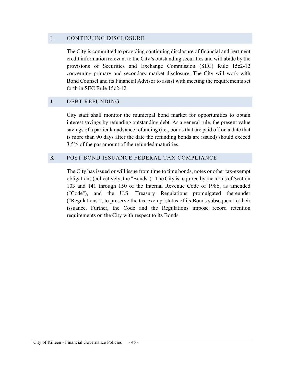## I. CONTINUING DISCLOSURE

The City is committed to providing continuing disclosure of financial and pertinent credit information relevant to the City's outstanding securities and will abide by the provisions of Securities and Exchange Commission (SEC) Rule 15c2-12 concerning primary and secondary market disclosure. The City will work with Bond Counsel and its Financial Advisor to assist with meeting the requirements set forth in SEC Rule 15c2-12.

## J. DEBT REFUNDING

City staff shall monitor the municipal bond market for opportunities to obtain interest savings by refunding outstanding debt. As a general rule, the present value savings of a particular advance refunding (i.e., bonds that are paid off on a date that is more than 90 days after the date the refunding bonds are issued) should exceed 3.5% of the par amount of the refunded maturities.

# K. POST BOND ISSUANCE FEDERAL TAX COMPLIANCE

The City has issued or will issue from time to time bonds, notes or other tax-exempt obligations (collectively, the "Bonds"). The City is required by the terms of Section 103 and 141 through 150 of the Internal Revenue Code of 1986, as amended ("Code"), and the U.S. Treasury Regulations promulgated thereunder ("Regulations"), to preserve the tax-exempt status of its Bonds subsequent to their issuance. Further, the Code and the Regulations impose record retention requirements on the City with respect to its Bonds.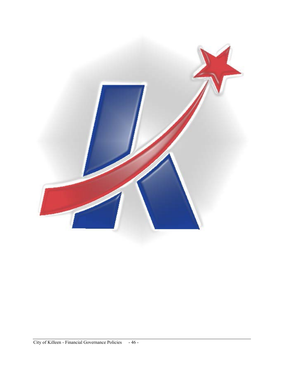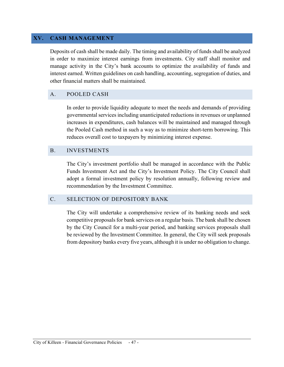# **XV. CASH MANAGEMENT**

Deposits of cash shall be made daily. The timing and availability of funds shall be analyzed in order to maximize interest earnings from investments. City staff shall monitor and manage activity in the City's bank accounts to optimize the availability of funds and interest earned. Written guidelines on cash handling, accounting, segregation of duties, and other financial matters shall be maintained.

# A. POOLED CASH

In order to provide liquidity adequate to meet the needs and demands of providing governmental services including unanticipated reductions in revenues or unplanned increases in expenditures, cash balances will be maintained and managed through the Pooled Cash method in such a way as to minimize short-term borrowing. This reduces overall cost to taxpayers by minimizing interest expense.

## B. INVESTMENTS

The City's investment portfolio shall be managed in accordance with the Public Funds Investment Act and the City's Investment Policy. The City Council shall adopt a formal investment policy by resolution annually, following review and recommendation by the Investment Committee.

## C. SELECTION OF DEPOSITORY BANK

The City will undertake a comprehensive review of its banking needs and seek competitive proposals for bank services on a regular basis. The bank shall be chosen by the City Council for a multi-year period, and banking services proposals shall be reviewed by the Investment Committee. In general, the City will seek proposals from depository banks every five years, although it is under no obligation to change.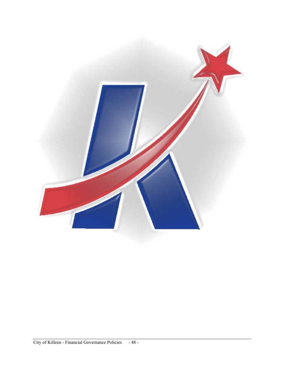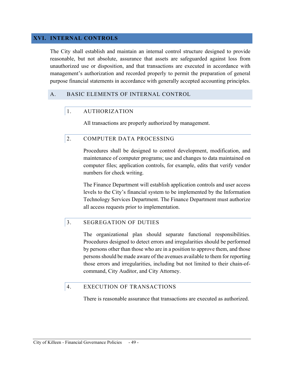# **XVI. INTERNAL CONTROLS**

The City shall establish and maintain an internal control structure designed to provide reasonable, but not absolute, assurance that assets are safeguarded against loss from unauthorized use or disposition, and that transactions are executed in accordance with management's authorization and recorded properly to permit the preparation of general purpose financial statements in accordance with generally accepted accounting principles.

# A. BASIC ELEMENTS OF INTERNAL CONTROL

# 1. AUTHORIZATION

All transactions are properly authorized by management.

# 2. COMPUTER DATA PROCESSING

Procedures shall be designed to control development, modification, and maintenance of computer programs; use and changes to data maintained on computer files; application controls, for example, edits that verify vendor numbers for check writing.

The Finance Department will establish application controls and user access levels to the City's financial system to be implemented by the Information Technology Services Department. The Finance Department must authorize all access requests prior to implementation.

# 3. SEGREGATION OF DUTIES

The organizational plan should separate functional responsibilities. Procedures designed to detect errors and irregularities should be performed by persons other than those who are in a position to approve them, and those persons should be made aware of the avenues available to them for reporting those errors and irregularities, including but not limited to their chain-ofcommand, City Auditor, and City Attorney.

# 4. EXECUTION OF TRANSACTIONS

There is reasonable assurance that transactions are executed as authorized.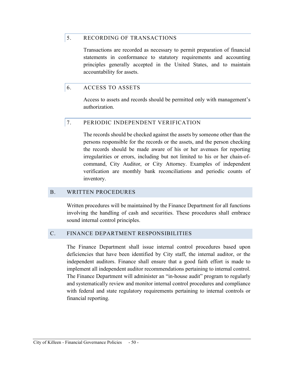# 5. RECORDING OF TRANSACTIONS

Transactions are recorded as necessary to permit preparation of financial statements in conformance to statutory requirements and accounting principles generally accepted in the United States, and to maintain accountability for assets.

# 6. ACCESS TO ASSETS

Access to assets and records should be permitted only with management's authorization.

# 7. PERIODIC INDEPENDENT VERIFICATION

The records should be checked against the assets by someone other than the persons responsible for the records or the assets, and the person checking the records should be made aware of his or her avenues for reporting irregularities or errors, including but not limited to his or her chain-ofcommand, City Auditor, or City Attorney. Examples of independent verification are monthly bank reconciliations and periodic counts of inventory.

## B. WRITTEN PROCEDURES

Written procedures will be maintained by the Finance Department for all functions involving the handling of cash and securities. These procedures shall embrace sound internal control principles.

## C. FINANCE DEPARTMENT RESPONSIBILITIES

The Finance Department shall issue internal control procedures based upon deficiencies that have been identified by City staff, the internal auditor, or the independent auditors. Finance shall ensure that a good faith effort is made to implement all independent auditor recommendations pertaining to internal control. The Finance Department will administer an "in-house audit" program to regularly and systematically review and monitor internal control procedures and compliance with federal and state regulatory requirements pertaining to internal controls or financial reporting.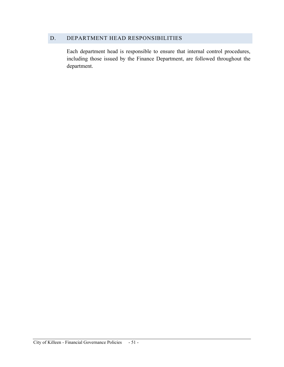# D. DEPARTMENT HEAD RESPONSIBILITIES

Each department head is responsible to ensure that internal control procedures, including those issued by the Finance Department, are followed throughout the department.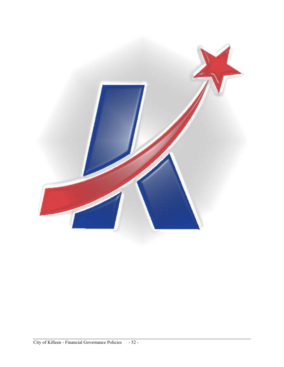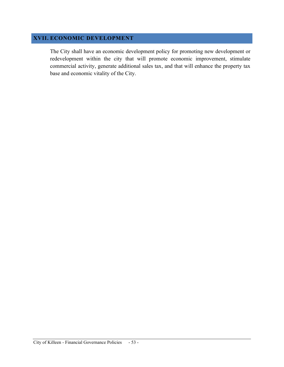# **XVII. ECONOMIC DEVELOPMENT**

The City shall have an economic development policy for promoting new development or redevelopment within the city that will promote economic improvement, stimulate commercial activity, generate additional sales tax, and that will enhance the property tax base and economic vitality of the City.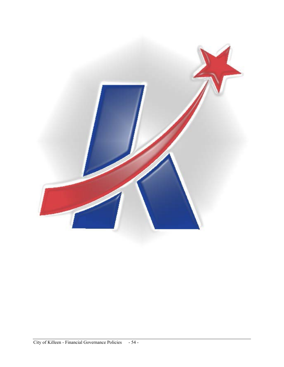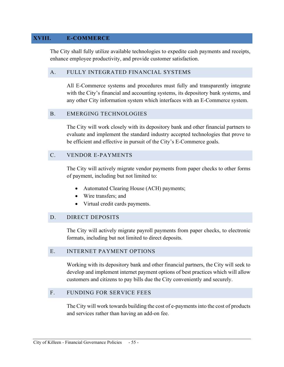# **XVIII. E-COMMERCE**

The City shall fully utilize available technologies to expedite cash payments and receipts, enhance employee productivity, and provide customer satisfaction.

## A. FULLY INTEGRATED FINANCIAL SYSTEMS

All E-Commerce systems and procedures must fully and transparently integrate with the City's financial and accounting systems, its depository bank systems, and any other City information system which interfaces with an E-Commerce system.

# B. EMERGING TECHNOLOGIES

The City will work closely with its depository bank and other financial partners to evaluate and implement the standard industry accepted technologies that prove to be efficient and effective in pursuit of the City's E-Commerce goals.

# C. VENDOR E-PAYMENTS

The City will actively migrate vendor payments from paper checks to other forms of payment, including but not limited to:

- Automated Clearing House (ACH) payments;
- Wire transfers; and
- Virtual credit cards payments.

## D. DIRECT DEPOSITS

The City will actively migrate payroll payments from paper checks, to electronic formats, including but not limited to direct deposits.

## E. INTERNET PAYMENT OPTIONS

Working with its depository bank and other financial partners, the City will seek to develop and implement internet payment options of best practices which will allow customers and citizens to pay bills due the City conveniently and securely.

## F. FUNDING FOR SERVICE FEES

The City will work towards building the cost of e-payments into the cost of products and services rather than having an add-on fee.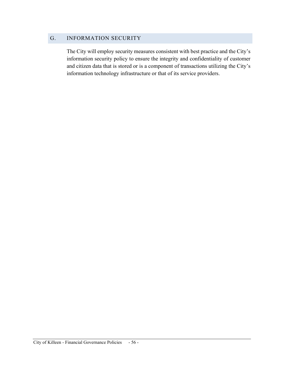# G. INFORMATION SECURITY

The City will employ security measures consistent with best practice and the City's information security policy to ensure the integrity and confidentiality of customer and citizen data that is stored or is a component of transactions utilizing the City's information technology infrastructure or that of its service providers.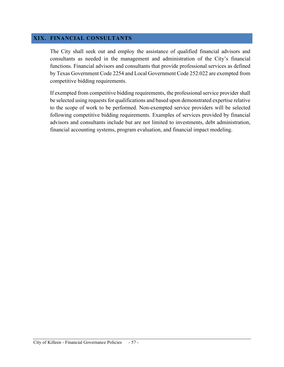# **XIX. FINANCIAL CONSULTANTS**

The City shall seek out and employ the assistance of qualified financial advisors and consultants as needed in the management and administration of the City's financial functions. Financial advisors and consultants that provide professional services as defined by Texas Government Code 2254 and Local Government Code 252.022 are exempted from competitive bidding requirements.

If exempted from competitive bidding requirements, the professional service provider shall be selected using requests for qualifications and based upon demonstrated expertise relative to the scope of work to be performed. Non-exempted service providers will be selected following competitive bidding requirements. Examples of services provided by financial advisors and consultants include but are not limited to investments, debt administration, financial accounting systems, program evaluation, and financial impact modeling.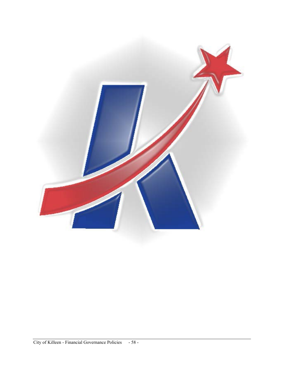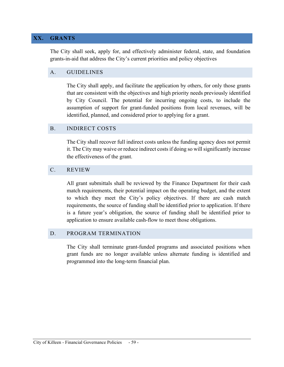# **XX. GRANTS**

The City shall seek, apply for, and effectively administer federal, state, and foundation grants-in-aid that address the City's current priorities and policy objectives

### A. GUIDELINES

The City shall apply, and facilitate the application by others, for only those grants that are consistent with the objectives and high priority needs previously identified by City Council. The potential for incurring ongoing costs, to include the assumption of support for grant-funded positions from local revenues, will be identified, planned, and considered prior to applying for a grant.

## B. INDIRECT COSTS

The City shall recover full indirect costs unless the funding agency does not permit it. The City may waive or reduce indirect costs if doing so will significantly increase the effectiveness of the grant.

### C. REVIEW

All grant submittals shall be reviewed by the Finance Department for their cash match requirements, their potential impact on the operating budget, and the extent to which they meet the City's policy objectives. If there are cash match requirements, the source of funding shall be identified prior to application. If there is a future year's obligation, the source of funding shall be identified prior to application to ensure available cash-flow to meet those obligations.

#### D. PROGRAM TERMINATION

The City shall terminate grant-funded programs and associated positions when grant funds are no longer available unless alternate funding is identified and programmed into the long-term financial plan.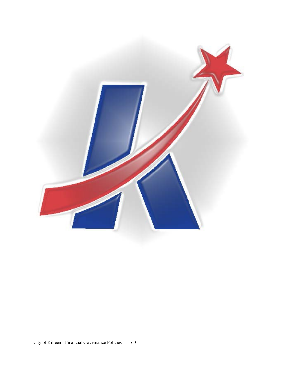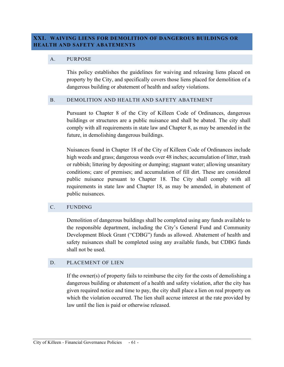### **XXI. WAIVING LIENS FOR DEMOLITION OF DANGEROUS BUILDINGS OR HEALTH AND SAFETY ABATEMENTS**

### A. PURPOSE

This policy establishes the guidelines for waiving and releasing liens placed on property by the City, and specifically covers those liens placed for demolition of a dangerous building or abatement of health and safety violations.

#### B. DEMOLITION AND HEALTH AND SAFETY ABATEMENT

Pursuant to Chapter 8 of the City of Killeen Code of Ordinances, dangerous buildings or structures are a public nuisance and shall be abated. The city shall comply with all requirements in state law and Chapter 8, as may be amended in the future, in demolishing dangerous buildings.

Nuisances found in Chapter 18 of the City of Killeen Code of Ordinances include high weeds and grass; dangerous weeds over 48 inches; accumulation of litter, trash or rubbish; littering by depositing or dumping; stagnant water; allowing unsanitary conditions; care of premises; and accumulation of fill dirt. These are considered public nuisance pursuant to Chapter 18. The City shall comply with all requirements in state law and Chapter 18, as may be amended, in abatement of public nuisances.

#### C. FUNDING

Demolition of dangerous buildings shall be completed using any funds available to the responsible department, including the City's General Fund and Community Development Block Grant ("CDBG") funds as allowed. Abatement of health and safety nuisances shall be completed using any available funds, but CDBG funds shall not be used.

#### D. PLACEMENT OF LIEN

If the owner(s) of property fails to reimburse the city for the costs of demolishing a dangerous building or abatement of a health and safety violation, after the city has given required notice and time to pay, the city shall place a lien on real property on which the violation occurred. The lien shall accrue interest at the rate provided by law until the lien is paid or otherwise released.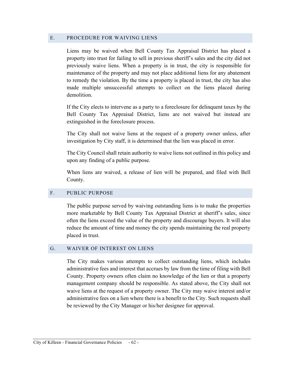#### E. PROCEDURE FOR WAIVING LIENS

Liens may be waived when Bell County Tax Appraisal District has placed a property into trust for failing to sell in previous sheriff's sales and the city did not previously waive liens. When a property is in trust, the city is responsible for maintenance of the property and may not place additional liens for any abatement to remedy the violation. By the time a property is placed in trust, the city has also made multiple unsuccessful attempts to collect on the liens placed during demolition.

If the City elects to intervene as a party to a foreclosure for delinquent taxes by the Bell County Tax Appraisal District, liens are not waived but instead are extinguished in the foreclosure process.

The City shall not waive liens at the request of a property owner unless, after investigation by City staff, it is determined that the lien was placed in error.

The City Council shall retain authority to waive liens not outlined in this policy and upon any finding of a public purpose.

When liens are waived, a release of lien will be prepared, and filed with Bell County.

#### F. PUBLIC PURPOSE

The public purpose served by waiving outstanding liens is to make the properties more marketable by Bell County Tax Appraisal District at sheriff's sales, since often the liens exceed the value of the property and discourage buyers. It will also reduce the amount of time and money the city spends maintaining the real property placed in trust.

#### G. WAIVER OF INTEREST ON LIENS

The City makes various attempts to collect outstanding liens, which includes administrative fees and interest that accrues by law from the time of filing with Bell County. Property owners often claim no knowledge of the lien or that a property management company should be responsible. As stated above, the City shall not waive liens at the request of a property owner. The City may waive interest and/or administrative fees on a lien where there is a benefit to the City. Such requests shall be reviewed by the City Manager or his/her designee for approval.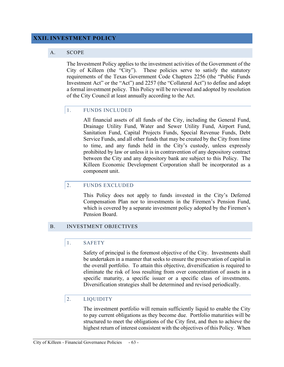# **XXII. INVESTMENT POLICY**

#### A. SCOPE

The Investment Policy applies to the investment activities of the Government of the City of Killeen (the "City"). These policies serve to satisfy the statutory requirements of the Texas Government Code Chapters 2256 (the "Public Funds Investment Act" or the "Act") and 2257 (the "Collateral Act") to define and adopt a formal investment policy. This Policy will be reviewed and adopted by resolution of the City Council at least annually according to the Act.

### 1. FUNDS INCLUDED

All financial assets of all funds of the City, including the General Fund, Drainage Utility Fund, Water and Sewer Utility Fund, Airport Fund, Sanitation Fund, Capital Projects Funds, Special Revenue Funds, Debt Service Funds, and all other funds that may be created by the City from time to time, and any funds held in the City's custody, unless expressly prohibited by law or unless it is in contravention of any depository contract between the City and any depository bank are subject to this Policy. The Killeen Economic Development Corporation shall be incorporated as a component unit.

#### 2. FUNDS EXCLUDED

This Policy does not apply to funds invested in the City's Deferred Compensation Plan nor to investments in the Firemen's Pension Fund, which is covered by a separate investment policy adopted by the Firemen's Pension Board.

#### B. INVESTMENT OBJECTIVES

## 1. SAFETY

Safety of principal is the foremost objective of the City. Investments shall be undertaken in a manner that seeks to ensure the preservation of capital in the overall portfolio. To attain this objective, diversification is required to eliminate the risk of loss resulting from over concentration of assets in a specific maturity, a specific issuer or a specific class of investments. Diversification strategies shall be determined and revised periodically.

## 2. LIQUIDITY

The investment portfolio will remain sufficiently liquid to enable the City to pay current obligations as they become due. Portfolio maturities will be structured to meet the obligations of the City first, and then to achieve the highest return of interest consistent with the objectives of this Policy. When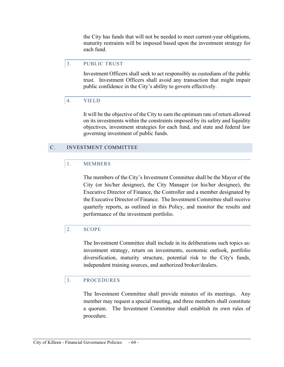the City has funds that will not be needed to meet current-year obligations, maturity restraints will be imposed based upon the investment strategy for each fund.

## 3. PUBLIC TRUST

Investment Officers shall seek to act responsibly as custodians of the public trust. Investment Officers shall avoid any transaction that might impair public confidence in the City's ability to govern effectively.

# 4. YIELD

It will be the objective of the City to earn the optimum rate of return allowed on its investments within the constraints imposed by its safety and liquidity objectives, investment strategies for each fund, and state and federal law governing investment of public funds.

## C. INVESTMENT COMMITTEE

# 1. MEMBERS

The members of the City's Investment Committee shall be the Mayor of the City (or his/her designee), the City Manager (or his/her designee), the Executive Director of Finance, the Controller and a member designated by the Executive Director of Finance. The Investment Committee shall receive quarterly reports, as outlined in this Policy, and monitor the results and performance of the investment portfolio.

# 2. SCOPE

The Investment Committee shall include in its deliberations such topics as: investment strategy, return on investments, economic outlook, portfolio diversification, maturity structure, potential risk to the City's funds, independent training sources, and authorized broker/dealers.

# 3. PROCEDURES

The Investment Committee shall provide minutes of its meetings. Any member may request a special meeting, and three members shall constitute a quorum. The Investment Committee shall establish its own rules of procedure.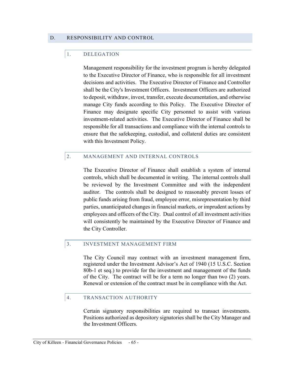#### D. RESPONSIBILITY AND CONTROL

## 1. DELEGATION

Management responsibility for the investment program is hereby delegated to the Executive Director of Finance, who is responsible for all investment decisions and activities. The Executive Director of Finance and Controller shall be the City's Investment Officers. Investment Officers are authorized to deposit, withdraw, invest, transfer, execute documentation, and otherwise manage City funds according to this Policy. The Executive Director of Finance may designate specific City personnel to assist with various investment-related activities. The Executive Director of Finance shall be responsible for all transactions and compliance with the internal controls to ensure that the safekeeping, custodial, and collateral duties are consistent with this Investment Policy.

# 2. MANAGEMENT AND INTERNAL CONTROLS

The Executive Director of Finance shall establish a system of internal controls, which shall be documented in writing. The internal controls shall be reviewed by the Investment Committee and with the independent auditor. The controls shall be designed to reasonably prevent losses of public funds arising from fraud, employee error, misrepresentation by third parties, unanticipated changes in financial markets, or imprudent actions by employees and officers of the City. Dual control of all investment activities will consistently be maintained by the Executive Director of Finance and the City Controller.

#### 3. INVESTMENT MANAGEMENT FIRM

The City Council may contract with an investment management firm, registered under the Investment Advisor's Act of 1940 (15 U.S.C. Section 80b-1 et seq.) to provide for the investment and management of the funds of the City. The contract will be for a term no longer than two (2) years. Renewal or extension of the contract must be in compliance with the Act.

#### 4. TRANSACTION AUTHORITY

Certain signatory responsibilities are required to transact investments. Positions authorized as depository signatories shall be the City Manager and the Investment Officers.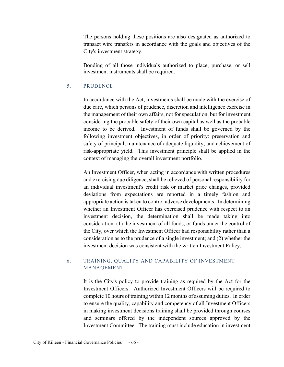The persons holding these positions are also designated as authorized to transact wire transfers in accordance with the goals and objectives of the City's investment strategy.

Bonding of all those individuals authorized to place, purchase, or sell investment instruments shall be required.

#### 5. PRUDENCE

In accordance with the Act, investments shall be made with the exercise of due care, which persons of prudence, discretion and intelligence exercise in the management of their own affairs, not for speculation, but for investment considering the probable safety of their own capital as well as the probable income to be derived. Investment of funds shall be governed by the following investment objectives, in order of priority: preservation and safety of principal; maintenance of adequate liquidity; and achievement of risk-appropriate yield. This investment principle shall be applied in the context of managing the overall investment portfolio.

An Investment Officer, when acting in accordance with written procedures and exercising due diligence, shall be relieved of personal responsibility for an individual investment's credit risk or market price changes, provided deviations from expectations are reported in a timely fashion and appropriate action is taken to control adverse developments. In determining whether an Investment Officer has exercised prudence with respect to an investment decision, the determination shall be made taking into consideration: (1) the investment of all funds, or funds under the control of the City, over which the Investment Officer had responsibility rather than a consideration as to the prudence of a single investment; and (2) whether the investment decision was consistent with the written Investment Policy.

## 6. TRAINING, QUALITY AND CAPABILITY OF INVESTMENT MANAGEMENT

It is the City's policy to provide training as required by the Act for the Investment Officers. Authorized Investment Officers will be required to complete 10 hours of training within 12 months of assuming duties. In order to ensure the quality, capability and competency of all Investment Officers in making investment decisions training shall be provided through courses and seminars offered by the independent sources approved by the Investment Committee. The training must include education in investment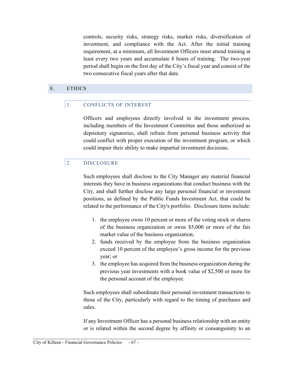controls, security risks, strategy risks, market risks, diversification of investment, and compliance with the Act. After the initial training requirement, at a minimum, all Investment Officers must attend training at least every two years and accumulate 8 hours of training. The two-year period shall begin on the first day of the City's fiscal year and consist of the two consecutive fiscal years after that date.

## E. ETHICS

# 1. CONFLICTS OF INTEREST

Officers and employees directly involved in the investment process, including members of the Investment Committee and those authorized as depository signatories, shall refrain from personal business activity that could conflict with proper execution of the investment program, or which could impair their ability to make impartial investment decisions.

# 2. DISCLOSURE

Such employees shall disclose to the City Manager any material financial interests they have in business organizations that conduct business with the City, and shall further disclose any large personal financial or investment positions, as defined by the Public Funds Investment Act, that could be related to the performance of the City's portfolio. Disclosure items include:

- 1. the employee owns 10 percent or more of the voting stock or shares of the business organization or owns \$5,000 or more of the fair market value of the business organization;
- 2. funds received by the employee from the business organization exceed 10 percent of the employee's gross income for the previous year; or
- 3. the employee has acquired from the business organization during the previous year investments with a book value of \$2,500 or more for the personal account of the employee.

Such employees shall subordinate their personal investment transactions to those of the City, particularly with regard to the timing of purchases and sales.

If any Investment Officer has a personal business relationship with an entity or is related within the second degree by affinity or consanguinity to an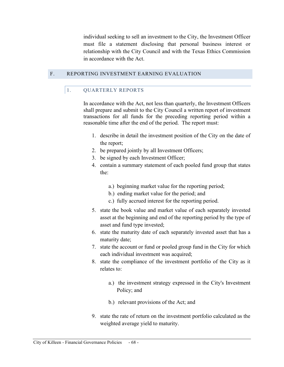individual seeking to sell an investment to the City, the Investment Officer must file a statement disclosing that personal business interest or relationship with the City Council and with the Texas Ethics Commission in accordance with the Act.

### F. REPORTING INVESTMENT EARNING EVALUATION

## 1. QUARTERLY REPORTS

In accordance with the Act, not less than quarterly, the Investment Officers shall prepare and submit to the City Council a written report of investment transactions for all funds for the preceding reporting period within a reasonable time after the end of the period. The report must:

- 1. describe in detail the investment position of the City on the date of the report;
- 2. be prepared jointly by all Investment Officers;
- 3. be signed by each Investment Officer;
- 4. contain a summary statement of each pooled fund group that states the:
	- a.) beginning market value for the reporting period;
	- b.) ending market value for the period; and
	- c.) fully accrued interest for the reporting period.
- 5. state the book value and market value of each separately invested asset at the beginning and end of the reporting period by the type of asset and fund type invested;
- 6. state the maturity date of each separately invested asset that has a maturity date;
- 7. state the account or fund or pooled group fund in the City for which each individual investment was acquired;
- 8. state the compliance of the investment portfolio of the City as it relates to:
	- a.) the investment strategy expressed in the City's Investment Policy; and
	- b.) relevant provisions of the Act; and
- 9. state the rate of return on the investment portfolio calculated as the weighted average yield to maturity.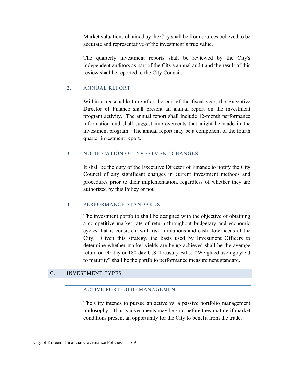Market valuations obtained by the City shall be from sources believed to be accurate and representative of the investment's true value.

The quarterly investment reports shall be reviewed by the City's independent auditors as part of the City's annual audit and the result of this review shall be reported to the City Council.

# 2. ANNUAL REPORT

Within a reasonable time after the end of the fiscal year, the Executive Director of Finance shall present an annual report on the investment program activity. The annual report shall include 12-month performance information and shall suggest improvements that might be made in the investment program. The annual report may be a component of the fourth quarter investment report.

# 3. NOTIFICATION OF INVESTMENT CHANGES

It shall be the duty of the Executive Director of Finance to notify the City Council of any significant changes in current investment methods and procedures prior to their implementation, regardless of whether they are authorized by this Policy or not.

# 4. PERFORMANCE STANDARDS

The investment portfolio shall be designed with the objective of obtaining a competitive market rate of return throughout budgetary and economic cycles that is consistent with risk limitations and cash flow needs of the City. Given this strategy, the basis used by Investment Officers to determine whether market yields are being achieved shall be the average return on 90-day or 180-day U.S. Treasury Bills. "Weighted average yield to maturity" shall be the portfolio performance measurement standard.

## G. INVESTMENT TYPES

## 1. ACTIVE PORTFOLIO MANAGEMENT

The City intends to pursue an active vs. a passive portfolio management philosophy. That is investments may be sold before they mature if market conditions present an opportunity for the City to benefit from the trade.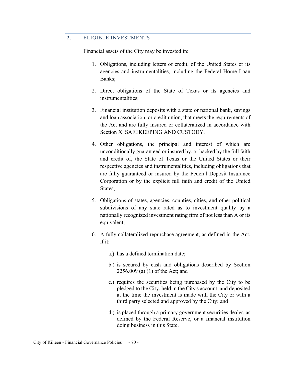## 2. ELIGIBLE INVESTMENTS

Financial assets of the City may be invested in:

- 1. Obligations, including letters of credit, of the United States or its agencies and instrumentalities, including the Federal Home Loan Banks;
- 2. Direct obligations of the State of Texas or its agencies and instrumentalities;
- 3. Financial institution deposits with a state or national bank, savings and loan association, or credit union, that meets the requirements of the Act and are fully insured or collateralized in accordance with Section X. SAFEKEEPING AND CUSTODY.
- 4. Other obligations, the principal and interest of which are unconditionally guaranteed or insured by, or backed by the full faith and credit of, the State of Texas or the United States or their respective agencies and instrumentalities, including obligations that are fully guaranteed or insured by the Federal Deposit Insurance Corporation or by the explicit full faith and credit of the United States;
- 5. Obligations of states, agencies, counties, cities, and other political subdivisions of any state rated as to investment quality by a nationally recognized investment rating firm of not less than A or its equivalent;
- 6. A fully collateralized repurchase agreement, as defined in the Act, if it:
	- a.) has a defined termination date;
	- b.) is secured by cash and obligations described by Section 2256.009 (a) (1) of the Act; and
	- c.) requires the securities being purchased by the City to be pledged to the City, held in the City's account, and deposited at the time the investment is made with the City or with a third party selected and approved by the City; and
	- d.) is placed through a primary government securities dealer, as defined by the Federal Reserve, or a financial institution doing business in this State.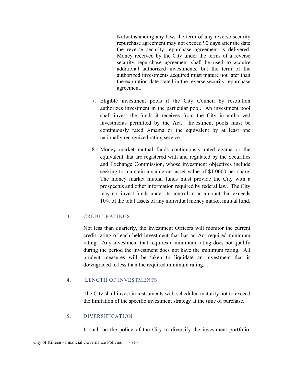Notwithstanding any law, the term of any reverse security repurchase agreement may not exceed 90 days after the date the reverse security repurchase agreement is delivered. Money received by the City under the terms of a reverse security repurchase agreement shall be used to acquire additional authorized investments, but the term of the authorized investments acquired must mature not later than the expiration date stated in the reverse security repurchase agreement.

- 7. Eligible investment pools if the City Council by resolution authorizes investment in the particular pool. An investment pool shall invest the funds it receives from the City in authorized investments permitted by the Act. Investment pools must be continuously rated Amama or the equivalent by at least one nationally recognized rating service.
- 8. Money market mutual funds continuously rated agama or the equivalent that are registered with and regulated by the Securities and Exchange Commission, whose investment objectives include seeking to maintain a stable net asset value of \$1.0000 per share. The money market mutual funds must provide the City with a prospectus and other information required by federal law. The City may not invest funds under its control in an amount that exceeds 10% of the total assets of any individual money market mutual fund.

# 3. CREDIT RATINGS

Not less than quarterly, the Investment Officers will monitor the current credit rating of each held investment that has an Act required minimum rating. Any investment that requires a minimum rating does not qualify during the period the investment does not have the minimum rating. All prudent measures will be taken to liquidate an investment that is downgraded to less than the required minimum rating. .

# 4. LENGTH OF INVESTMENTS

The City shall invest in instruments with scheduled maturity not to exceed the limitation of the specific investment strategy at the time of purchase.

# 5. DIVERSIFICATION

It shall be the policy of the City to diversify the investment portfolio.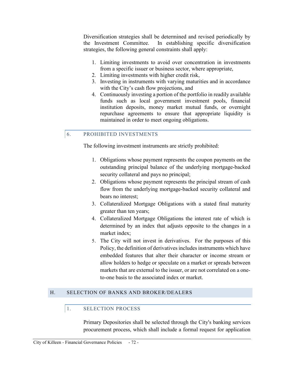Diversification strategies shall be determined and revised periodically by the Investment Committee. In establishing specific diversification strategies, the following general constraints shall apply:

- 1. Limiting investments to avoid over concentration in investments from a specific issuer or business sector, where appropriate,
- 2. Limiting investments with higher credit risk,
- 3. Investing in instruments with varying maturities and in accordance with the City's cash flow projections, and
- 4. Continuously investing a portion of the portfolio in readily available funds such as local government investment pools, financial institution deposits, money market mutual funds, or overnight repurchase agreements to ensure that appropriate liquidity is maintained in order to meet ongoing obligations.

# 6. PROHIBITED INVESTMENTS

The following investment instruments are strictly prohibited:

- 1. Obligations whose payment represents the coupon payments on the outstanding principal balance of the underlying mortgage-backed security collateral and pays no principal;
- 2. Obligations whose payment represents the principal stream of cash flow from the underlying mortgage-backed security collateral and bears no interest;
- 3. Collateralized Mortgage Obligations with a stated final maturity greater than ten years;
- 4. Collateralized Mortgage Obligations the interest rate of which is determined by an index that adjusts opposite to the changes in a market index;
- 5. The City will not invest in derivatives. For the purposes of this Policy, the definition of derivatives includes instruments which have embedded features that alter their character or income stream or allow holders to hedge or speculate on a market or spreads between markets that are external to the issuer, or are not correlated on a oneto-one basis to the associated index or market.

# H. SELECTION OF BANKS AND BROKER/DEALERS

# 1. SELECTION PROCESS

Primary Depositories shall be selected through the City's banking services procurement process, which shall include a formal request for application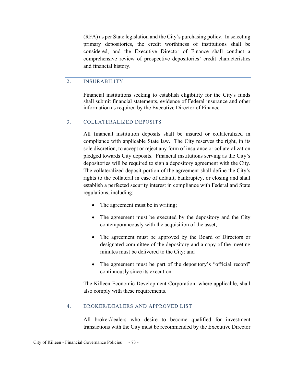(RFA) as per State legislation and the City's purchasing policy. In selecting primary depositories, the credit worthiness of institutions shall be considered, and the Executive Director of Finance shall conduct a comprehensive review of prospective depositories' credit characteristics and financial history.

# 2. INSURABILITY

Financial institutions seeking to establish eligibility for the City's funds shall submit financial statements, evidence of Federal insurance and other information as required by the Executive Director of Finance.

### 3. COLLATERALIZED DEPOSITS

All financial institution deposits shall be insured or collateralized in compliance with applicable State law. The City reserves the right, in its sole discretion, to accept or reject any form of insurance or collateralization pledged towards City deposits. Financial institutions serving as the City's depositories will be required to sign a depository agreement with the City. The collateralized deposit portion of the agreement shall define the City's rights to the collateral in case of default, bankruptcy, or closing and shall establish a perfected security interest in compliance with Federal and State regulations, including:

- The agreement must be in writing;
- The agreement must be executed by the depository and the City contemporaneously with the acquisition of the asset;
- The agreement must be approved by the Board of Directors or designated committee of the depository and a copy of the meeting minutes must be delivered to the City; and
- The agreement must be part of the depository's "official record" continuously since its execution.

The Killeen Economic Development Corporation, where applicable, shall also comply with these requirements.

### 4. BROKER/DEALERS AND APPROVED LIST

All broker/dealers who desire to become qualified for investment transactions with the City must be recommended by the Executive Director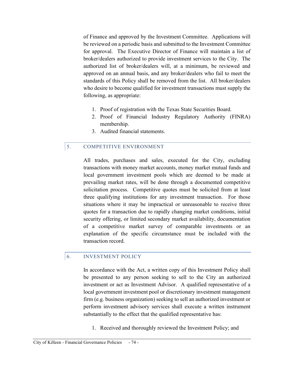of Finance and approved by the Investment Committee. Applications will be reviewed on a periodic basis and submitted to the Investment Committee for approval. The Executive Director of Finance will maintain a list of broker/dealers authorized to provide investment services to the City. The authorized list of broker/dealers will, at a minimum, be reviewed and approved on an annual basis, and any broker/dealers who fail to meet the standards of this Policy shall be removed from the list. All broker/dealers who desire to become qualified for investment transactions must supply the following, as appropriate:

- 1. Proof of registration with the Texas State Securities Board.
- 2. Proof of Financial Industry Regulatory Authority (FINRA) membership.
- 3. Audited financial statements.

## 5. COMPETITIVE ENVIRONMENT

All trades, purchases and sales, executed for the City, excluding transactions with money market accounts, money market mutual funds and local government investment pools which are deemed to be made at prevailing market rates, will be done through a documented competitive solicitation process. Competitive quotes must be solicited from at least three qualifying institutions for any investment transaction. For those situations where it may be impractical or unreasonable to receive three quotes for a transaction due to rapidly changing market conditions, initial security offering, or limited secondary market availability, documentation of a competitive market survey of comparable investments or an explanation of the specific circumstance must be included with the transaction record.

### 6. INVESTMENT POLICY

In accordance with the Act, a written copy of this Investment Policy shall be presented to any person seeking to sell to the City an authorized investment or act as Investment Advisor. A qualified representative of a local government investment pool or discretionary investment management firm (e.g. business organization) seeking to sell an authorized investment or perform investment advisory services shall execute a written instrument substantially to the effect that the qualified representative has:

1. Received and thoroughly reviewed the Investment Policy; and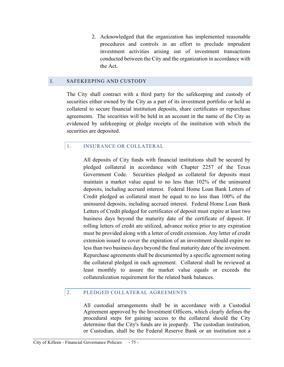2. Acknowledged that the organization has implemented reasonable procedures and controls in an effort to preclude imprudent investment activities arising out of investment transactions conducted between the City and the organization in accordance with the Act.

#### I. SAFEKEEPING AND CUSTODY

The City shall contract with a third party for the safekeeping and custody of securities either owned by the City as a part of its investment portfolio or held as collateral to secure financial institution deposits, share certificates or repurchase agreements. The securities will be held in an account in the name of the City as evidenced by safekeeping or pledge receipts of the institution with which the securities are deposited.

### 1. INSURANCE OR COLLATERAL

All deposits of City funds with financial institutions shall be secured by pledged collateral in accordance with Chapter 2257 of the Texas Government Code. Securities pledged as collateral for deposits must maintain a market value equal to no less than 102% of the uninsured deposits, including accrued interest. Federal Home Loan Bank Letters of Credit pledged as collateral must be equal to no less than 100% of the uninsured deposits, including accrued interest. Federal Home Loan Bank Letters of Credit pledged for certificates of deposit must expire at least two business days beyond the maturity date of the certificate of deposit. If rolling letters of credit are utilized, advance notice prior to any expiration must be provided along with a letter of credit extension. Any letter of credit extension issued to cover the expiration of an investment should expire no less than two business days beyond the final maturity date of the investment. Repurchase agreements shall be documented by a specific agreement noting the collateral pledged in each agreement. Collateral shall be reviewed at least monthly to assure the market value equals or exceeds the collateralization requirement for the related bank balances.

#### 2. PLEDGED COLLATERAL AGREEMENTS

All custodial arrangements shall be in accordance with a Custodial Agreement approved by the Investment Officers, which clearly defines the procedural steps for gaining access to the collateral should the City determine that the City's funds are in jeopardy. The custodian institution, or Custodian, shall be the Federal Reserve Bank or an institution not a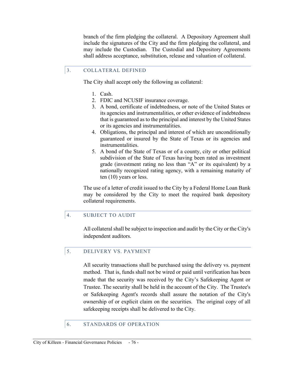branch of the firm pledging the collateral. A Depository Agreement shall include the signatures of the City and the firm pledging the collateral, and may include the Custodian. The Custodial and Depository Agreements shall address acceptance, substitution, release and valuation of collateral.

## 3. COLLATERAL DEFINED

The City shall accept only the following as collateral:

- 1. Cash.
- 2. FDIC and NCUSIF insurance coverage.
- 3. A bond, certificate of indebtedness, or note of the United States or its agencies and instrumentalities, or other evidence of indebtedness that is guaranteed as to the principal and interest by the United States or its agencies and instrumentalities.
- 4. Obligations, the principal and interest of which are unconditionally guaranteed or insured by the State of Texas or its agencies and instrumentalities.
- 5. A bond of the State of Texas or of a county, city or other political subdivision of the State of Texas having been rated as investment grade (investment rating no less than "A" or its equivalent) by a nationally recognized rating agency, with a remaining maturity of ten (10) years or less.

The use of a letter of credit issued to the City by a Federal Home Loan Bank may be considered by the City to meet the required bank depository collateral requirements.

## 4. SUBJECT TO AUDIT

All collateral shall be subject to inspection and audit by the City or the City's independent auditors.

## 5. DELIVERY VS. PAYMENT

All security transactions shall be purchased using the delivery vs. payment method. That is, funds shall not be wired or paid until verification has been made that the security was received by the City's Safekeeping Agent or Trustee. The security shall be held in the account of the City. The Trustee's or Safekeeping Agent's records shall assure the notation of the City's ownership of or explicit claim on the securities. The original copy of all safekeeping receipts shall be delivered to the City.

6. STANDARDS OF OPERATION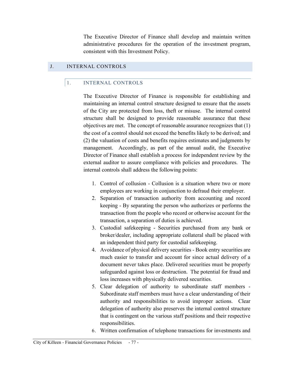The Executive Director of Finance shall develop and maintain written administrative procedures for the operation of the investment program, consistent with this Investment Policy.

### J. INTERNAL CONTROLS

## 1. INTERNAL CONTROLS

The Executive Director of Finance is responsible for establishing and maintaining an internal control structure designed to ensure that the assets of the City are protected from loss, theft or misuse. The internal control structure shall be designed to provide reasonable assurance that these objectives are met. The concept of reasonable assurance recognizes that (1) the cost of a control should not exceed the benefits likely to be derived; and (2) the valuation of costs and benefits requires estimates and judgments by management. Accordingly, as part of the annual audit, the Executive Director of Finance shall establish a process for independent review by the external auditor to assure compliance with policies and procedures. The internal controls shall address the following points:

- 1. Control of collusion Collusion is a situation where two or more employees are working in conjunction to defraud their employer.
- 2. Separation of transaction authority from accounting and record keeping - By separating the person who authorizes or performs the transaction from the people who record or otherwise account for the transaction, a separation of duties is achieved.
- 3. Custodial safekeeping Securities purchased from any bank or broker/dealer, including appropriate collateral shall be placed with an independent third party for custodial safekeeping.
- 4. Avoidance of physical delivery securities Book entry securities are much easier to transfer and account for since actual delivery of a document never takes place. Delivered securities must be properly safeguarded against loss or destruction. The potential for fraud and loss increases with physically delivered securities.
- 5. Clear delegation of authority to subordinate staff members Subordinate staff members must have a clear understanding of their authority and responsibilities to avoid improper actions. Clear delegation of authority also preserves the internal control structure that is contingent on the various staff positions and their respective responsibilities.
- 6. Written confirmation of telephone transactions for investments and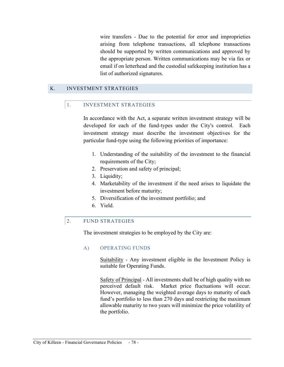wire transfers - Due to the potential for error and improprieties arising from telephone transactions, all telephone transactions should be supported by written communications and approved by the appropriate person. Written communications may be via fax or email if on letterhead and the custodial safekeeping institution has a list of authorized signatures.

#### K. INVESTMENT STRATEGIES

## 1. INVESTMENT STRATEGIES

In accordance with the Act, a separate written investment strategy will be developed for each of the fund-types under the City's control. Each investment strategy must describe the investment objectives for the particular fund-type using the following priorities of importance:

- 1. Understanding of the suitability of the investment to the financial requirements of the City;
- 2. Preservation and safety of principal;
- 3. Liquidity;
- 4. Marketability of the investment if the need arises to liquidate the investment before maturity;
- 5. Diversification of the investment portfolio; and
- 6. Yield.

### 2. FUND STRATEGIES

The investment strategies to be employed by the City are:

#### A) OPERATING FUNDS

Suitability - Any investment eligible in the Investment Policy is suitable for Operating Funds.

Safety of Principal - All investments shall be of high quality with no perceived default risk. Market price fluctuations will occur. However, managing the weighted average days to maturity of each fund's portfolio to less than 270 days and restricting the maximum allowable maturity to two years will minimize the price volatility of the portfolio.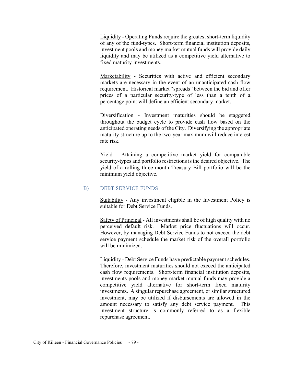Liquidity - Operating Funds require the greatest short-term liquidity of any of the fund-types. Short-term financial institution deposits, investment pools and money market mutual funds will provide daily liquidity and may be utilized as a competitive yield alternative to fixed maturity investments.

Marketability - Securities with active and efficient secondary markets are necessary in the event of an unanticipated cash flow requirement. Historical market "spreads" between the bid and offer prices of a particular security-type of less than a tenth of a percentage point will define an efficient secondary market.

Diversification - Investment maturities should be staggered throughout the budget cycle to provide cash flow based on the anticipated operating needs of the City. Diversifying the appropriate maturity structure up to the two-year maximum will reduce interest rate risk.

Yield - Attaining a competitive market yield for comparable security-types and portfolio restrictions is the desired objective. The yield of a rolling three-month Treasury Bill portfolio will be the minimum yield objective.

#### B) DEBT SERVICE FUNDS

Suitability - Any investment eligible in the Investment Policy is suitable for Debt Service Funds.

Safety of Principal - All investments shall be of high quality with no perceived default risk. Market price fluctuations will occur. However, by managing Debt Service Funds to not exceed the debt service payment schedule the market risk of the overall portfolio will be minimized.

Liquidity - Debt Service Funds have predictable payment schedules. Therefore, investment maturities should not exceed the anticipated cash flow requirements. Short-term financial institution deposits, investments pools and money market mutual funds may provide a competitive yield alternative for short-term fixed maturity investments. A singular repurchase agreement, or similar structured investment, may be utilized if disbursements are allowed in the amount necessary to satisfy any debt service payment. This investment structure is commonly referred to as a flexible repurchase agreement.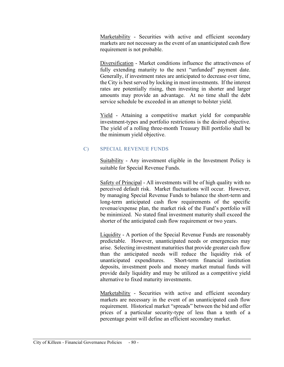Marketability - Securities with active and efficient secondary markets are not necessary as the event of an unanticipated cash flow requirement is not probable.

Diversification - Market conditions influence the attractiveness of fully extending maturity to the next "unfunded" payment date. Generally, if investment rates are anticipated to decrease over time, the City is best served by locking in most investments. If the interest rates are potentially rising, then investing in shorter and larger amounts may provide an advantage. At no time shall the debt service schedule be exceeded in an attempt to bolster yield.

Yield - Attaining a competitive market yield for comparable investment-types and portfolio restrictions is the desired objective. The yield of a rolling three-month Treasury Bill portfolio shall be the minimum yield objective.

### C) SPECIAL REVENUE FUNDS

Suitability - Any investment eligible in the Investment Policy is suitable for Special Revenue Funds.

Safety of Principal - All investments will be of high quality with no perceived default risk. Market fluctuations will occur. However, by managing Special Revenue Funds to balance the short-term and long-term anticipated cash flow requirements of the specific revenue/expense plan, the market risk of the Fund's portfolio will be minimized. No stated final investment maturity shall exceed the shorter of the anticipated cash flow requirement or two years.

Liquidity - A portion of the Special Revenue Funds are reasonably predictable. However, unanticipated needs or emergencies may arise. Selecting investment maturities that provide greater cash flow than the anticipated needs will reduce the liquidity risk of unanticipated expenditures. Short-term financial institution deposits, investment pools and money market mutual funds will provide daily liquidity and may be utilized as a competitive yield alternative to fixed maturity investments.

Marketability - Securities with active and efficient secondary markets are necessary in the event of an unanticipated cash flow requirement. Historical market "spreads" between the bid and offer prices of a particular security-type of less than a tenth of a percentage point will define an efficient secondary market.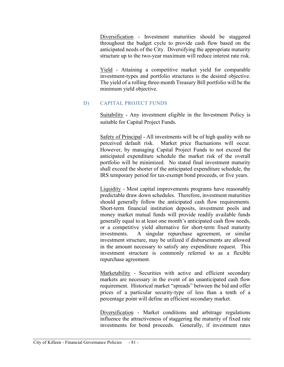Diversification - Investment maturities should be staggered throughout the budget cycle to provide cash flow based on the anticipated needs of the City. Diversifying the appropriate maturity structure up to the two-year maximum will reduce interest rate risk.

Yield - Attaining a competitive market yield for comparable investment-types and portfolio structures is the desired objective. The yield of a rolling three-month Treasury Bill portfolio will be the minimum yield objective.

## D) CAPITAL PROJECT FUNDS

Suitability - Any investment eligible in the Investment Policy is suitable for Capital Project Funds.

Safety of Principal - All investments will be of high quality with no perceived default risk. Market price fluctuations will occur. However, by managing Capital Project Funds to not exceed the anticipated expenditure schedule the market risk of the overall portfolio will be minimized. No stated final investment maturity shall exceed the shorter of the anticipated expenditure schedule, the IRS temporary period for tax-exempt bond proceeds, or five years.

Liquidity - Most capital improvements programs have reasonably predictable draw down schedules. Therefore, investment maturities should generally follow the anticipated cash flow requirements. Short-term financial institution deposits, investment pools and money market mutual funds will provide readily available funds generally equal to at least one month's anticipated cash flow needs, or a competitive yield alternative for short-term fixed maturity investments. A singular repurchase agreement, or similar investment structure, may be utilized if disbursements are allowed in the amount necessary to satisfy any expenditure request. This investment structure is commonly referred to as a flexible repurchase agreement.

Marketability - Securities with active and efficient secondary markets are necessary in the event of an unanticipated cash flow requirement. Historical market "spreads" between the bid and offer prices of a particular security-type of less than a tenth of a percentage point will define an efficient secondary market.

Diversification - Market conditions and arbitrage regulations influence the attractiveness of staggering the maturity of fixed rate investments for bond proceeds. Generally, if investment rates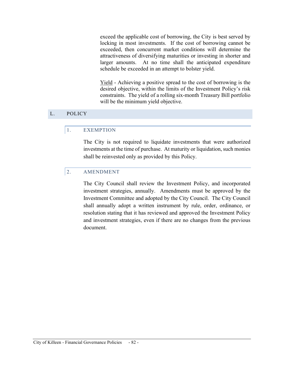exceed the applicable cost of borrowing, the City is best served by locking in most investments. If the cost of borrowing cannot be exceeded, then concurrent market conditions will determine the attractiveness of diversifying maturities or investing in shorter and larger amounts. At no time shall the anticipated expenditure schedule be exceeded in an attempt to bolster yield.

Yield - Achieving a positive spread to the cost of borrowing is the desired objective, within the limits of the Investment Policy's risk constraints. The yield of a rolling six-month Treasury Bill portfolio will be the minimum yield objective.

#### L. POLICY

### 1. EXEMPTION

The City is not required to liquidate investments that were authorized investments at the time of purchase. At maturity or liquidation, such monies shall be reinvested only as provided by this Policy.

### 2. AMENDMENT

The City Council shall review the Investment Policy, and incorporated investment strategies, annually. Amendments must be approved by the Investment Committee and adopted by the City Council. The City Council shall annually adopt a written instrument by rule, order, ordinance, or resolution stating that it has reviewed and approved the Investment Policy and investment strategies, even if there are no changes from the previous document.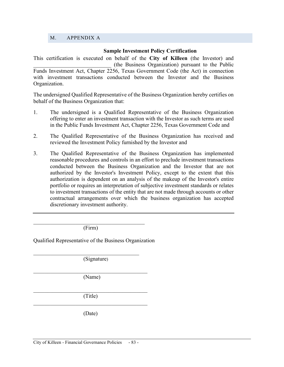#### M. APPENDIX A

#### **Sample Investment Policy Certification**

This certification is executed on behalf of the **City of Killeen** (the Investor) and \_\_\_\_\_\_\_\_\_\_\_\_\_\_\_\_\_\_\_\_\_\_\_\_\_\_\_\_ (the Business Organization) pursuant to the Public Funds Investment Act, Chapter 2256, Texas Government Code (the Act) in connection with investment transactions conducted between the Investor and the Business Organization.

The undersigned Qualified Representative of the Business Organization hereby certifies on behalf of the Business Organization that:

- 1. The undersigned is a Qualified Representative of the Business Organization offering to enter an investment transaction with the Investor as such terms are used in the Public Funds Investment Act, Chapter 2256, Texas Government Code and
- 2. The Qualified Representative of the Business Organization has received and reviewed the Investment Policy furnished by the Investor and
- 3. The Qualified Representative of the Business Organization has implemented reasonable procedures and controls in an effort to preclude investment transactions conducted between the Business Organization and the Investor that are not authorized by the Investor's Investment Policy, except to the extent that this authorization is dependent on an analysis of the makeup of the Investor's entire portfolio or requires an interpretation of subjective investment standards or relates to investment transactions of the entity that are not made through accounts or other contractual arrangements over which the business organization has accepted discretionary investment authority.

\_\_\_\_\_\_\_\_\_\_\_\_\_\_\_\_\_\_\_\_\_\_\_\_\_\_\_\_\_\_\_\_\_\_\_\_\_\_\_\_ (Firm)

\_\_\_\_\_\_\_\_\_\_\_\_\_\_\_\_\_\_\_\_\_\_\_\_\_\_\_\_\_\_\_\_\_\_\_\_\_\_

Qualified Representative of the Business Organization

(Signature)

(Name)

(Title)

(Date)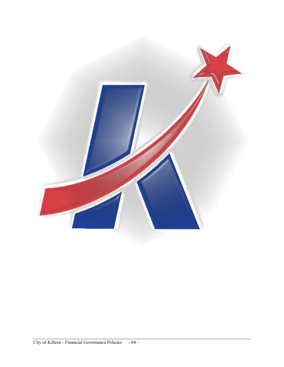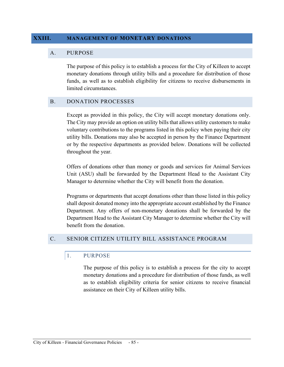#### **XXIII. MANAGEMENT OF MONETARY DONATIONS**

#### A. PURPOSE

The purpose of this policy is to establish a process for the City of Killeen to accept monetary donations through utility bills and a procedure for distribution of those funds, as well as to establish eligibility for citizens to receive disbursements in limited circumstances.

#### B. DONATION PROCESSES

Except as provided in this policy, the City will accept monetary donations only. The City may provide an option on utility bills that allows utility customers to make voluntary contributions to the programs listed in this policy when paying their city utility bills. Donations may also be accepted in person by the Finance Department or by the respective departments as provided below. Donations will be collected throughout the year.

Offers of donations other than money or goods and services for Animal Services Unit (ASU) shall be forwarded by the Department Head to the Assistant City Manager to determine whether the City will benefit from the donation.

Programs or departments that accept donations other than those listed in this policy shall deposit donated money into the appropriate account established by the Finance Department. Any offers of non-monetary donations shall be forwarded by the Department Head to the Assistant City Manager to determine whether the City will benefit from the donation.

#### C. SENIOR CITIZEN UTILITY BILL ASSISTANCE PROGRAM

#### 1. PURPOSE

The purpose of this policy is to establish a process for the city to accept monetary donations and a procedure for distribution of those funds, as well as to establish eligibility criteria for senior citizens to receive financial assistance on their City of Killeen utility bills.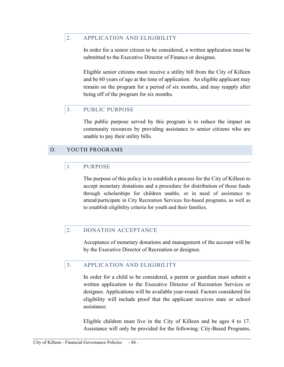## 2. APPLICATION AND ELIGIBILITY

In order for a senior citizen to be considered, a written application must be submitted to the Executive Director of Finance or designee.

Eligible senior citizens must receive a utility bill from the City of Killeen and be 60 years of age at the time of application. An eligible applicant may remain on the program for a period of six months, and may reapply after being off of the program for six months.

## 3. PUBLIC PURPOSE

The public purpose served by this program is to reduce the impact on community resources by providing assistance to senior citizens who are unable to pay their utility bills.

### D. YOUTH PROGRAMS

## 1. PURPOSE

The purpose of this policy is to establish a process for the City of Killeen to accept monetary donations and a procedure for distribution of those funds through scholarships for children unable, or in need of assistance to attend/participate in City Recreation Services fee-based programs, as well as to establish eligibility criteria for youth and their families.

## 2. DONATION ACCEPTANCE

Acceptance of monetary donations and management of the account will be by the Executive Director of Recreation or designee.

## 3. APPLICATION AND ELIGIBILITY

In order for a child to be considered, a parent or guardian must submit a written application to the Executive Director of Recreation Services or designee. Applications will be available year-round. Factors considered for eligibility will include proof that the applicant receives state or school assistance.

Eligible children must live in the City of Killeen and be ages 4 to 17. Assistance will only be provided for the following: City-Based Programs,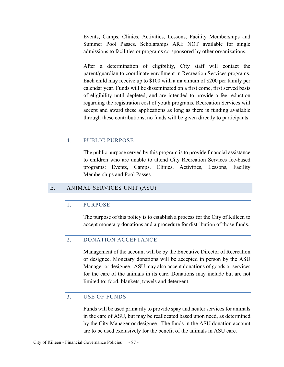Events, Camps, Clinics, Activities, Lessons, Facility Memberships and Summer Pool Passes. Scholarships ARE NOT available for single admissions to facilities or programs co-sponsored by other organizations.

After a determination of eligibility, City staff will contact the parent/guardian to coordinate enrollment in Recreation Services programs. Each child may receive up to \$100 with a maximum of \$200 per family per calendar year. Funds will be disseminated on a first come, first served basis of eligibility until depleted, and are intended to provide a fee reduction regarding the registration cost of youth programs. Recreation Services will accept and award these applications as long as there is funding available through these contributions, no funds will be given directly to participants.

## 4. PUBLIC PURPOSE

The public purpose served by this program is to provide financial assistance to children who are unable to attend City Recreation Services fee-based programs: Events, Camps, Clinics, Activities, Lessons, Facility Memberships and Pool Passes.

### E. ANIMAL SERVICES UNIT (ASU)

# 1. PURPOSE

The purpose of this policy is to establish a process for the City of Killeen to accept monetary donations and a procedure for distribution of those funds.

# 2. DONATION ACCEPTANCE

Management of the account will be by the Executive Director of Recreation or designee. Monetary donations will be accepted in person by the ASU Manager or designee. ASU may also accept donations of goods or services for the care of the animals in its care. Donations may include but are not limited to: food, blankets, towels and detergent.

## 3. USE OF FUNDS

Funds will be used primarily to provide spay and neuter services for animals in the care of ASU, but may be reallocated based upon need, as determined by the City Manager or designee. The funds in the ASU donation account are to be used exclusively for the benefit of the animals in ASU care.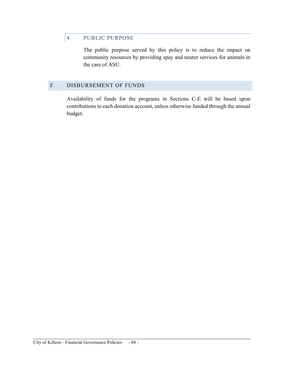# 4. PUBLIC PURPOSE

The public purpose served by this policy is to reduce the impact on community resources by providing spay and neuter services for animals in the care of ASU.

## F. DISBURSEMENT OF FUNDS

Availability of funds for the programs in Sections C-E will be based upon contributions to each donation account, unless otherwise funded through the annual budget.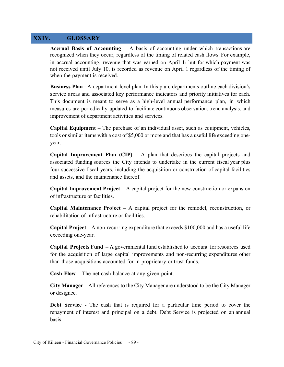## **XXIV. GLOSSARY**

**Accrual Basis of Accounting –** A basis of accounting under which transactions are recognized when they occur, regardless of the timing of related cash flows. For example, in accrual accounting, revenue that was earned on April 1, but for which payment was not received until July 10, is recorded as revenue on April 1 regardless of the timing of when the payment is received.

**Business Plan -** A department-level plan. In this plan, departments outline each division's service areas and associated key performance indicators and priority initiatives for each. This document is meant to serve as a high-level annual performance plan, in which measures are periodically updated to facilitate continuous observation, trend analysis, and improvement of department activities and services.

**Capital Equipment –** The purchase of an individual asset, such as equipment, vehicles, tools or similar items with a cost of \$5,000 or more and that has a useful life exceeding oneyear.

**Capital Improvement Plan (CIP) –** A plan that describes the capital projects and associated funding sources the City intends to undertake in the current fiscal year plus four successive fiscal years, including the acquisition or construction of capital facilities and assets, and the maintenance thereof.

**Capital Improvement Project –** A capital project for the new construction or expansion of infrastructure or facilities.

**Capital Maintenance Project –** A capital project for the remodel, reconstruction, or rehabilitation of infrastructure or facilities.

**Capital Project –** A non-recurring expenditure that exceeds \$100,000 and has a useful life exceeding one-year.

**Capital Projects Fund –** A governmental fund established to account for resources used for the acquisition of large capital improvements and non-recurring expenditures other than those acquisitions accounted for in proprietary or trust funds.

**Cash Flow –** The net cash balance at any given point.

**City Manager** – All references to the City Manager are understood to be the City Manager or designee.

**Debt Service -** The cash that is required for a particular time period to cover the repayment of interest and principal on a debt. Debt Service is projected on an annual basis.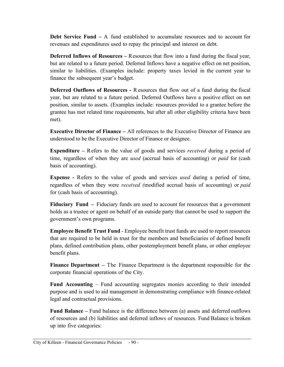**Debt Service Fund –** A fund established to accumulate resources and to account for revenues and expenditures used to repay the principal and interest on debt.

**Deferred Inflows of Resources –** Resources that flow into a fund during the fiscal year, but are related to a future period. Deferred Inflows have a negative effect on net position, similar to liabilities. (Examples include: property taxes levied in the current year to finance the subsequent year's budget.

**Deferred Outflows of Resources -** Resources that flow out of a fund during the fiscal year, but are related to a future period. Deferred Outflows have a positive effect on net position, similar to assets. (Examples include: resources provided to a grantee before the grantee has met related time requirements, but after all other eligibility criteria have been met).

**Executive Director of Finance –** All references to the Executive Director of Finance are understood to be the Executive Director of Finance or designee.

**Expenditure –** Refers to the value of goods and services *received* during a period of time, regardless of when they are *used* (accrual basis of accounting) or *paid* for (cash basis of accounting).

**Expense -** Refers to the value of goods and services *used* during a period of time, regardless of when they were *received (*modified accrual basis of accounting) or *paid* for (cash basis of accounting).

**Fiduciary Fund –** Fiduciary funds are used to account for resources that a government holds as a trustee or agent on behalf of an outside party that cannot be used to support the government's own programs.

**Employee Benefit Trust Fund** - Employee benefit trust funds are used to report resources that are required to be held in trust for the members and beneficiaries of defined benefit plans, defined contribution plans, other postemployment benefit plans, or other employee benefit plans.

**Finance Department –** The Finance Department is the department responsible for the corporate financial operations of the City.

**Fund Accounting** – Fund accounting segregates monies according to their intended purpose and is used to aid management in demonstrating compliance with finance-related legal and contractual provisions.

**Fund Balance –** Fund balance is the difference between (a) assets and deferred outflows of resources and (b) liabilities and deferred inflows of resources. Fund Balance is broken up into five categories: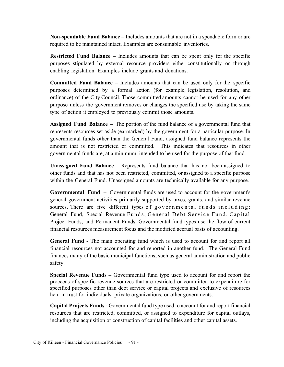**Non-spendable Fund Balance –** Includes amounts that are not in a spendable form or are required to be maintained intact. Examples are consumable inventories.

**Restricted Fund Balance –** Includes amounts that can be spent only for the specific purposes stipulated by external resource providers either constitutionally or through enabling legislation. Examples include grants and donations.

**Committed Fund Balance –** Includes amounts that can be used only for the specific purposes determined by a formal action (for example, legislation, resolution, and ordinance) of the City Council. Those committed amounts cannot be used for any other purpose unless the government removes or changes the specified use by taking the same type of action it employed to previously commit those amounts.

**Assigned Fund Balance –** The portion of the fund balance of a governmental fund that represents resources set aside (earmarked) by the government for a particular purpose. In governmental funds other than the General Fund, assigned fund balance represents the amount that is not restricted or committed. This indicates that resources in other governmental funds are, at a minimum, intended to be used for the purpose of that fund.

**Unassigned Fund Balance -** Represents fund balance that has not been assigned to other funds and that has not been restricted, committed, or assigned to a specific purpose within the General Fund. Unassigned amounts are technically available for any purpose.

**Governmental Fund –** Governmental funds are used to account for the government's general government activities primarily supported by taxes, grants, and similar revenue sources. There are five different types of governmental funds including: General Fund, Special Revenue Funds, General Debt Service Fund , Capital Project Funds, and Permanent Funds. Governmental fund types use the flow of current financial resources measurement focus and the modified accrual basis of accounting.

**General Fund** - The main operating fund which is used to account for and report all financial resources not accounted for and reported in another fund. The General Fund finances many of the basic municipal functions, such as general administration and public safety.

**Special Revenue Funds –** Governmental fund type used to account for and report the proceeds of specific revenue sources that are restricted or committed to expenditure for specified purposes other than debt service or capital projects and exclusive of resources held in trust for individuals, private organizations, or other governments.

**Capital Projects Funds -** Governmental fund type used to account for and report financial resources that are restricted, committed, or assigned to expenditure for capital outlays, including the acquisition or construction of capital facilities and other capital assets.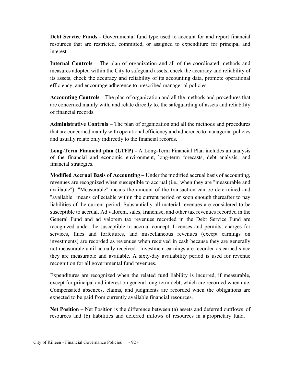**Debt Service Funds** - Governmental fund type used to account for and report financial resources that are restricted, committed, or assigned to expenditure for principal and interest.

**Internal Controls** – The plan of organization and all of the coordinated methods and measures adopted within the City to safeguard assets, check the accuracy and reliability of its assets, check the accuracy and reliability of its accounting data, promote operational efficiency, and encourage adherence to prescribed managerial policies.

**Accounting Controls** – The plan of organization and all the methods and procedures that are concerned mainly with, and relate directly to, the safeguarding of assets and reliability of financial records.

**Administrative Controls** – The plan of organization and all the methods and procedures that are concerned mainly with operational efficiency and adherence to managerial policies and usually relate only indirectly to the financial records.

**Long-Term Financial plan (LTFP) -** A Long-Term Financial Plan includes an analysis of the financial and economic environment, long-term forecasts, debt analysis, and financial strategies.

**Modified Accrual Basis of Accounting –** Under the modified accrual basis of accounting, revenues are recognized when susceptible to accrual (i.e., when they are "measurable and available"). "Measurable" means the amount of the transaction can be determined and "available" means collectable within the current period or soon enough thereafter to pay liabilities of the current period. Substantially all material revenues are considered to be susceptible to accrual. Ad valorem, sales, franchise, and other tax revenues recorded in the General Fund and ad valorem tax revenues recorded in the Debt Service Fund are recognized under the susceptible to accrual concept. Licenses and permits, charges for services, fines and forfeitures, and miscellaneous revenues (except earnings on investments) are recorded as revenues when received in cash because they are generally not measurable until actually received. Investment earnings are recorded as earned since they are measurable and available. A sixty-day availability period is used for revenue recognition for all governmental fund revenues.

Expenditures are recognized when the related fund liability is incurred, if measurable, except for principal and interest on general long-term debt, which are recorded when due. Compensated absences, claims, and judgments are recorded when the obligations are expected to be paid from currently available financial resources.

**Net Position –** Net Position is the difference between (a) assets and deferred outflows of resources and (b) liabilities and deferred inflows of resources in a proprietary fund.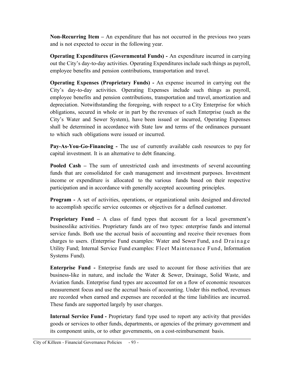**Non-Recurring Item –** An expenditure that has not occurred in the previous two years and is not expected to occur in the following year.

**Operating Expenditures (Governmental Funds) -** An expenditure incurred in carrying out the City's day-to-day activities. Operating Expenditures include such things as payroll, employee benefits and pension contributions, transportation and travel.

**Operating Expenses (Proprietary Funds) -** An expense incurred in carrying out the City's day-to-day activities. Operating Expenses include such things as payroll, employee benefits and pension contributions, transportation and travel, amortization and depreciation. Notwithstanding the foregoing, with respect to a City Enterprise for which obligations, secured in whole or in part by the revenues of such Enterprise (such as the City's Water and Sewer System), have been issued or incurred, Operating Expenses shall be determined in accordance with State law and terms of the ordinances pursuant to which such obligations were issued or incurred.

**Pay-As-You-Go-Financing -** The use of currently available cash resources to pay for capital investment. It is an alternative to debt financing.

**Pooled Cash –** The sum of unrestricted cash and investments of several accounting funds that are consolidated for cash management and investment purposes. Investment income or expenditure is allocated to the various funds based on their respective participation and in accordance with generally accepted accounting principles.

**Program** - A set of activities, operations, or organizational units designed and directed to accomplish specific service outcomes or objectives for a defined customer.

**Proprietary Fund –** A class of fund types that account for a local government's businesslike activities. Proprietary funds are of two types: enterprise funds and internal service funds. Both use the accrual basis of accounting and receive their revenues from charges to users. (Enterprise Fund examples: Water and Sewer Fund, and Drainage Utility Fund; Internal Service Fund examples: Fleet Maintenance Fund, Information Systems Fund).

**Enterprise Fund -** Enterprise funds are used to account for those activities that are business-like in nature, and include the Water & Sewer, Drainage, Solid Waste, and Aviation funds. Enterprise fund types are accounted for on a flow of economic resources measurement focus and use the accrual basis of accounting. Under this method, revenues are recorded when earned and expenses are recorded at the time liabilities are incurred. These funds are supported largely by user charges.

**Internal Service Fund -** Proprietary fund type used to report any activity that provides goods or services to other funds, departments, or agencies of the primary government and its component units, or to other governments, on a cost-reimbursement basis.